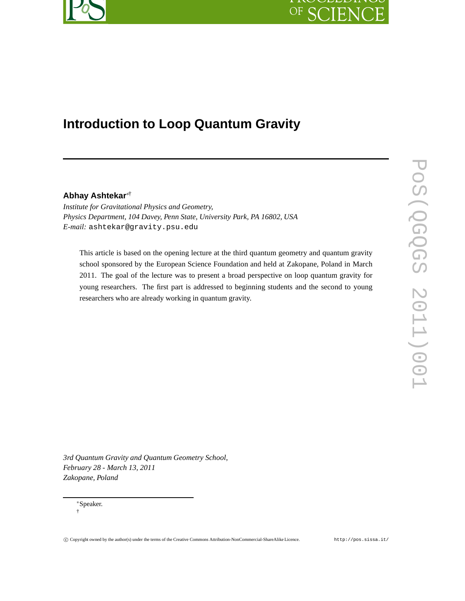

# OF SC

# **Introduction to Loop Quantum Gravity**

# **Abhay Ashtekar**∗†

*Institute for Gravitational Physics and Geometry, Physics Department, 104 Davey, Penn State, University Park, PA 16802, USA E-mail:* ashtekar@gravity.psu.edu

This article is based on the opening lecture at the third quantum geometry and quantum gravity school sponsored by the European Science Foundation and held at Zakopane, Poland in March 2011. The goal of the lecture was to present a broad perspective on loop quantum gravity for young researchers. The first part is addressed to beginning students and the second to young researchers who are already working in quantum gravity.

*3rd Quantum Gravity and Quantum Geometry School, February 28 - March 13, 2011 Zakopane, Poland*

∗Speaker. †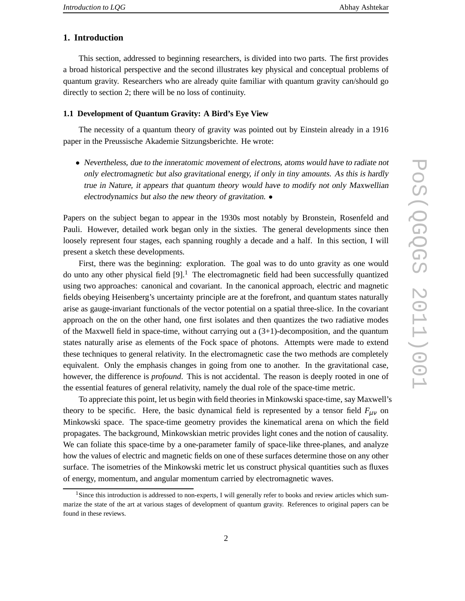# **1. Introduction**

This section, addressed to beginning researchers, is divided into two parts. The first provides a broad historical perspective and the second illustrates key physical and conceptual problems of quantum gravity. Researchers who are already quite familiar with quantum gravity can/should go directly to section 2; there will be no loss of continuity.

# **1.1 Development of Quantum Gravity: A Bird's Eye View**

The necessity of a quantum theory of gravity was pointed out by Einstein already in a 1916 paper in the Preussische Akademie Sitzungsberichte. He wrote:

• Nevertheless, due to the inneratomic movement of electrons, atoms would have to radiate not only electromagnetic but also gravitational energy, if only in tiny amounts. As this is hardly true in Nature, it appears that quantum theory would have to modify not only Maxwellian electrodynamics but also the new theory of gravitation. •

Papers on the subject began to appear in the 1930s most notably by Bronstein, Rosenfeld and Pauli. However, detailed work began only in the sixties. The general developments since then loosely represent four stages, each spanning roughly a decade and a half. In this section, I will present a sketch these developments.

First, there was the beginning: exploration. The goal was to do unto gravity as one would do unto any other physical field  $[9]$ .<sup>1</sup> The electromagnetic field had been successfully quantized using two approaches: canonical and covariant. In the canonical approach, electric and magnetic fields obeying Heisenberg's uncertainty principle are at the forefront, and quantum states naturally arise as gauge-invariant functionals of the vector potential on a spatial three-slice. In the covariant approach on the on the other hand, one first isolates and then quantizes the two radiative modes of the Maxwell field in space-time, without carrying out a  $(3+1)$ -decomposition, and the quantum states naturally arise as elements of the Fock space of photons. Attempts were made to extend these techniques to general relativity. In the electromagnetic case the two methods are completely equivalent. Only the emphasis changes in going from one to another. In the gravitational case, however, the difference is *profound*. This is not accidental. The reason is deeply rooted in one of the essential features of general relativity, namely the dual role of the space-time metric.

To appreciate this point, let us begin with field theories in Minkowski space-time, say Maxwell's theory to be specific. Here, the basic dynamical field is represented by a tensor field  $F_{\mu\nu}$  on Minkowski space. The space-time geometry provides the kinematical arena on which the field propagates. The background, Minkowskian metric provides light cones and the notion of causality. We can foliate this space-time by a one-parameter family of space-like three-planes, and analyze how the values of electric and magnetic fields on one of these surfaces determine those on any other surface. The isometries of the Minkowski metric let us construct physical quantities such as fluxes of energy, momentum, and angular momentum carried by electromagnetic waves.

<sup>&</sup>lt;sup>1</sup>Since this introduction is addressed to non-experts, I will generally refer to books and review articles which summarize the state of the art at various stages of development of quantum gravity. References to original papers can be found in these reviews.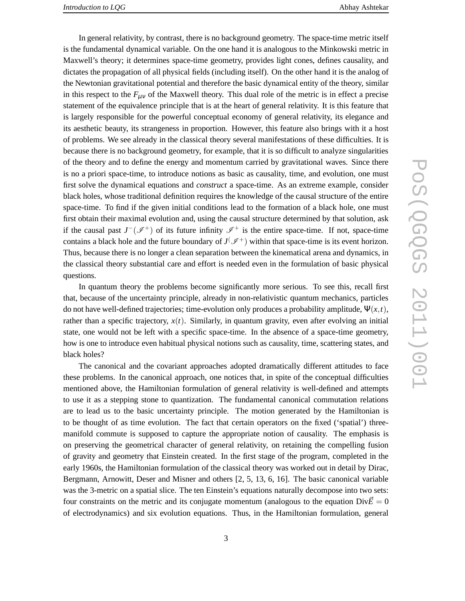In general relativity, by contrast, there is no background geometry. The space-time metric itself is the fundamental dynamical variable. On the one hand it is analogous to the Minkowski metric in Maxwell's theory; it determines space-time geometry, provides light cones, defines causality, and dictates the propagation of all physical fields (including itself). On the other hand it is the analog of the Newtonian gravitational potential and therefore the basic dynamical entity of the theory, similar in this respect to the  $F_{\mu\nu}$  of the Maxwell theory. This dual role of the metric is in effect a precise statement of the equivalence principle that is at the heart of general relativity. It is this feature that is largely responsible for the powerful conceptual economy of general relativity, its elegance and its aesthetic beauty, its strangeness in proportion. However, this feature also brings with it a host of problems. We see already in the classical theory several manifestations of these difficulties. It is because there is no background geometry, for example, that it is so difficult to analyze singularities of the theory and to define the energy and momentum carried by gravitational waves. Since there is no a priori space-time, to introduce notions as basic as causality, time, and evolution, one must first solve the dynamical equations and *construct* a space-time. As an extreme example, consider black holes, whose traditional definition requires the knowledge of the causal structure of the entire space-time. To find if the given initial conditions lead to the formation of a black hole, one must first obtain their maximal evolution and, using the causal structure determined by that solution, ask if the causal past  $J^-(\mathscr{I}^+)$  of its future infinity  $\mathscr{I}^+$  is the entire space-time. If not, space-time contains a black hole and the future boundary of  $J(\mathscr{I}^+)$  within that space-time is its event horizon. Thus, because there is no longer a clean separation between the kinematical arena and dynamics, in the classical theory substantial care and effort is needed even in the formulation of basic physical questions.

In quantum theory the problems become significantly more serious. To see this, recall first that, because of the uncertainty principle, already in non-relativistic quantum mechanics, particles do not have well-defined trajectories; time-evolution only produces a probability amplitude,  $\Psi(x,t)$ , rather than a specific trajectory,  $x(t)$ . Similarly, in quantum gravity, even after evolving an initial state, one would not be left with a specific space-time. In the absence of a space-time geometry, how is one to introduce even habitual physical notions such as causality, time, scattering states, and black holes?

The canonical and the covariant approaches adopted dramatically different attitudes to face these problems. In the canonical approach, one notices that, in spite of the conceptual difficulties mentioned above, the Hamiltonian formulation of general relativity is well-defined and attempts to use it as a stepping stone to quantization. The fundamental canonical commutation relations are to lead us to the basic uncertainty principle. The motion generated by the Hamiltonian is to be thought of as time evolution. The fact that certain operators on the fixed ('spatial') threemanifold commute is supposed to capture the appropriate notion of causality. The emphasis is on preserving the geometrical character of general relativity, on retaining the compelling fusion of gravity and geometry that Einstein created. In the first stage of the program, completed in the early 1960s, the Hamiltonian formulation of the classical theory was worked out in detail by Dirac, Bergmann, Arnowitt, Deser and Misner and others [2, 5, 13, 6, 16]. The basic canonical variable was the 3-metric on a spatial slice. The ten Einstein's equations naturally decompose into two sets: four constraints on the metric and its conjugate momentum (analogous to the equation  $Div\vec{E} = 0$ of electrodynamics) and six evolution equations. Thus, in the Hamiltonian formulation, general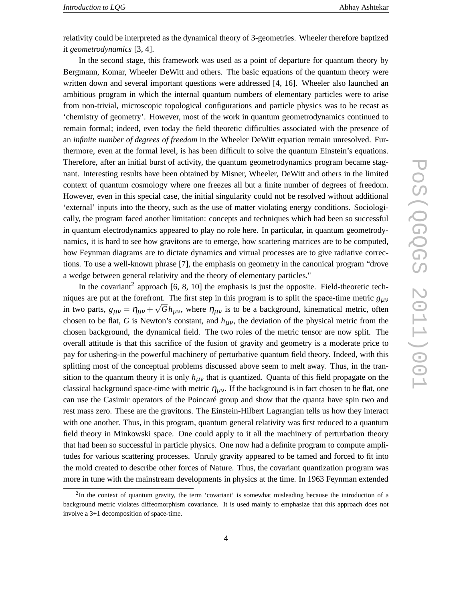relativity could be interpreted as the dynamical theory of 3-geometries. Wheeler therefore baptized it *geometrodynamics* [3, 4].

In the second stage, this framework was used as a point of departure for quantum theory by Bergmann, Komar, Wheeler DeWitt and others. The basic equations of the quantum theory were written down and several important questions were addressed [4, 16]. Wheeler also launched an ambitious program in which the internal quantum numbers of elementary particles were to arise from non-trivial, microscopic topological configurations and particle physics was to be recast as 'chemistry of geometry'. However, most of the work in quantum geometrodynamics continued to remain formal; indeed, even today the field theoretic difficulties associated with the presence of an *infinite number of degrees of freedom* in the Wheeler DeWitt equation remain unresolved. Furthermore, even at the formal level, is has been difficult to solve the quantum Einstein's equations. Therefore, after an initial burst of activity, the quantum geometrodynamics program became stagnant. Interesting results have been obtained by Misner, Wheeler, DeWitt and others in the limited context of quantum cosmology where one freezes all but a finite number of degrees of freedom. However, even in this special case, the initial singularity could not be resolved without additional 'external' inputs into the theory, such as the use of matter violating energy conditions. Sociologically, the program faced another limitation: concepts and techniques which had been so successful in quantum electrodynamics appeared to play no role here. In particular, in quantum geometrodynamics, it is hard to see how gravitons are to emerge, how scattering matrices are to be computed, how Feynman diagrams are to dictate dynamics and virtual processes are to give radiative corrections. To use a well-known phrase [7], the emphasis on geometry in the canonical program "drove a wedge between general relativity and the theory of elementary particles."

In the covariant<sup>2</sup> approach  $[6, 8, 10]$  the emphasis is just the opposite. Field-theoretic techniques are put at the forefront. The first step in this program is to split the space-time metric  $g_{\mu\nu}$ in two parts,  $g_{\mu\nu} = \eta_{\mu\nu} + \sqrt{G}h_{\mu\nu}$ , where  $\eta_{\mu\nu}$  is to be a background, kinematical metric, often chosen to be flat, *G* is Newton's constant, and  $h_{\mu\nu}$ , the deviation of the physical metric from the chosen background, the dynamical field. The two roles of the metric tensor are now split. The overall attitude is that this sacrifice of the fusion of gravity and geometry is a moderate price to pay for ushering-in the powerful machinery of perturbative quantum field theory. Indeed, with this splitting most of the conceptual problems discussed above seem to melt away. Thus, in the transition to the quantum theory it is only  $h_{\mu\nu}$  that is quantized. Quanta of this field propagate on the classical background space-time with metric  $\eta_{\mu\nu}$ . If the background is in fact chosen to be flat, one can use the Casimir operators of the Poincaré group and show that the quanta have spin two and rest mass zero. These are the gravitons. The Einstein-Hilbert Lagrangian tells us how they interact with one another. Thus, in this program, quantum general relativity was first reduced to a quantum field theory in Minkowski space. One could apply to it all the machinery of perturbation theory that had been so successful in particle physics. One now had a definite program to compute amplitudes for various scattering processes. Unruly gravity appeared to be tamed and forced to fit into the mold created to describe other forces of Nature. Thus, the covariant quantization program was more in tune with the mainstream developments in physics at the time. In 1963 Feynman extended

 $2$ In the context of quantum gravity, the term 'covariant' is somewhat misleading because the introduction of a background metric violates diffeomorphism covariance. It is used mainly to emphasize that this approach does not involve a 3+1 decomposition of space-time.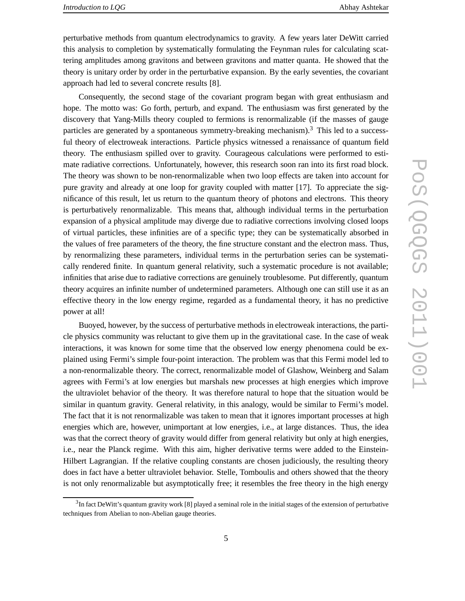perturbative methods from quantum electrodynamics to gravity. A few years later DeWitt carried this analysis to completion by systematically formulating the Feynman rules for calculating scattering amplitudes among gravitons and between gravitons and matter quanta. He showed that the theory is unitary order by order in the perturbative expansion. By the early seventies, the covariant approach had led to several concrete results [8].

Consequently, the second stage of the covariant program began with great enthusiasm and hope. The motto was: Go forth, perturb, and expand. The enthusiasm was first generated by the discovery that Yang-Mills theory coupled to fermions is renormalizable (if the masses of gauge particles are generated by a spontaneous symmetry-breaking mechanism).<sup>3</sup> This led to a successful theory of electroweak interactions. Particle physics witnessed a renaissance of quantum field theory. The enthusiasm spilled over to gravity. Courageous calculations were performed to estimate radiative corrections. Unfortunately, however, this research soon ran into its first road block. The theory was shown to be non-renormalizable when two loop effects are taken into account for pure gravity and already at one loop for gravity coupled with matter [17]. To appreciate the significance of this result, let us return to the quantum theory of photons and electrons. This theory is perturbatively renormalizable. This means that, although individual terms in the perturbation expansion of a physical amplitude may diverge due to radiative corrections involving closed loops of virtual particles, these infinities are of a specific type; they can be systematically absorbed in the values of free parameters of the theory, the fine structure constant and the electron mass. Thus, by renormalizing these parameters, individual terms in the perturbation series can be systematically rendered finite. In quantum general relativity, such a systematic procedure is not available; infinities that arise due to radiative corrections are genuinely troublesome. Put differently, quantum theory acquires an infinite number of undetermined parameters. Although one can still use it as an effective theory in the low energy regime, regarded as a fundamental theory, it has no predictive power at all!

Buoyed, however, by the success of perturbative methods in electroweak interactions, the particle physics community was reluctant to give them up in the gravitational case. In the case of weak interactions, it was known for some time that the observed low energy phenomena could be explained using Fermi's simple four-point interaction. The problem was that this Fermi model led to a non-renormalizable theory. The correct, renormalizable model of Glashow, Weinberg and Salam agrees with Fermi's at low energies but marshals new processes at high energies which improve the ultraviolet behavior of the theory. It was therefore natural to hope that the situation would be similar in quantum gravity. General relativity, in this analogy, would be similar to Fermi's model. The fact that it is not renormalizable was taken to mean that it ignores important processes at high energies which are, however, unimportant at low energies, i.e., at large distances. Thus, the idea was that the correct theory of gravity would differ from general relativity but only at high energies, i.e., near the Planck regime. With this aim, higher derivative terms were added to the Einstein-Hilbert Lagrangian. If the relative coupling constants are chosen judiciously, the resulting theory does in fact have a better ultraviolet behavior. Stelle, Tomboulis and others showed that the theory is not only renormalizable but asymptotically free; it resembles the free theory in the high energy

 $3$ In fact DeWitt's quantum gravity work [8] played a seminal role in the initial stages of the extension of perturbative techniques from Abelian to non-Abelian gauge theories.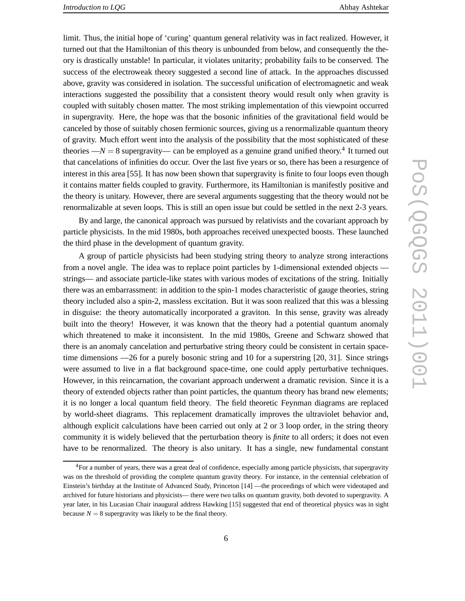limit. Thus, the initial hope of 'curing' quantum general relativity was in fact realized. However, it turned out that the Hamiltonian of this theory is unbounded from below, and consequently the theory is drastically unstable! In particular, it violates unitarity; probability fails to be conserved. The success of the electroweak theory suggested a second line of attack. In the approaches discussed above, gravity was considered in isolation. The successful unification of electromagnetic and weak interactions suggested the possibility that a consistent theory would result only when gravity is coupled with suitably chosen matter. The most striking implementation of this viewpoint occurred in supergravity. Here, the hope was that the bosonic infinities of the gravitational field would be canceled by those of suitably chosen fermionic sources, giving us a renormalizable quantum theory of gravity. Much effort went into the analysis of the possibility that the most sophisticated of these theories  $-N = 8$  supergravity— can be employed as a genuine grand unified theory.<sup>4</sup> It turned out that cancelations of infinities do occur. Over the last five years or so, there has been a resurgence of interest in this area [55]. It has now been shown that supergravity is finite to four loops even though it contains matter fields coupled to gravity. Furthermore, its Hamiltonian is manifestly positive and the theory is unitary. However, there are several arguments suggesting that the theory would not be renormalizable at seven loops. This is still an open issue but could be settled in the next 2-3 years.

By and large, the canonical approach was pursued by relativists and the covariant approach by particle physicists. In the mid 1980s, both approaches received unexpected boosts. These launched the third phase in the development of quantum gravity.

A group of particle physicists had been studying string theory to analyze strong interactions from a novel angle. The idea was to replace point particles by 1-dimensional extended objects strings— and associate particle-like states with various modes of excitations of the string. Initially there was an embarrassment: in addition to the spin-1 modes characteristic of gauge theories, string theory included also a spin-2, massless excitation. But it was soon realized that this was a blessing in disguise: the theory automatically incorporated a graviton. In this sense, gravity was already built into the theory! However, it was known that the theory had a potential quantum anomaly which threatened to make it inconsistent. In the mid 1980s, Greene and Schwarz showed that there is an anomaly cancelation and perturbative string theory could be consistent in certain spacetime dimensions —26 for a purely bosonic string and 10 for a superstring [20, 31]. Since strings were assumed to live in a flat background space-time, one could apply perturbative techniques. However, in this reincarnation, the covariant approach underwent a dramatic revision. Since it is a theory of extended objects rather than point particles, the quantum theory has brand new elements; it is no longer a local quantum field theory. The field theoretic Feynman diagrams are replaced by world-sheet diagrams. This replacement dramatically improves the ultraviolet behavior and, although explicit calculations have been carried out only at 2 or 3 loop order, in the string theory community it is widely believed that the perturbation theory is *finite* to all orders; it does not even have to be renormalized. The theory is also unitary. It has a single, new fundamental constant

<sup>4</sup>For a number of years, there was a great deal of confidence, especially among particle physicists, that supergravity was on the threshold of providing the complete quantum gravity theory. For instance, in the centennial celebration of Einstein's birthday at the Institute of Advanced Study, Princeton [14] —the proceedings of which were videotaped and archived for future historians and physicists— there were two talks on quantum gravity, both devoted to supergravity. A year later, in his Lucasian Chair inaugural address Hawking [15] suggested that end of theoretical physics was in sight because  $N = 8$  supergravity was likely to be the final theory.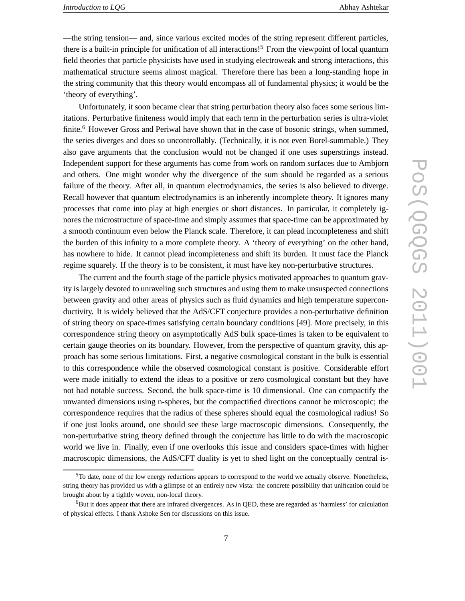—the string tension— and, since various excited modes of the string represent different particles, there is a built-in principle for unification of all interactions!<sup>5</sup> From the viewpoint of local quantum field theories that particle physicists have used in studying electroweak and strong interactions, this mathematical structure seems almost magical. Therefore there has been a long-standing hope in the string community that this theory would encompass all of fundamental physics; it would be the 'theory of everything'.

Unfortunately, it soon became clear that string perturbation theory also faces some serious limitations. Perturbative finiteness would imply that each term in the perturbation series is ultra-violet finite.<sup>6</sup> However Gross and Periwal have shown that in the case of bosonic strings, when summed, the series diverges and does so uncontrollably. (Technically, it is not even Borel-summable.) They also gave arguments that the conclusion would not be changed if one uses superstrings instead. Independent support for these arguments has come from work on random surfaces due to Ambjorn and others. One might wonder why the divergence of the sum should be regarded as a serious failure of the theory. After all, in quantum electrodynamics, the series is also believed to diverge. Recall however that quantum electrodynamics is an inherently incomplete theory. It ignores many processes that come into play at high energies or short distances. In particular, it completely ignores the microstructure of space-time and simply assumes that space-time can be approximated by a smooth continuum even below the Planck scale. Therefore, it can plead incompleteness and shift the burden of this infinity to a more complete theory. A 'theory of everything' on the other hand, has nowhere to hide. It cannot plead incompleteness and shift its burden. It must face the Planck regime squarely. If the theory is to be consistent, it must have key non-perturbative structures.

The current and the fourth stage of the particle physics motivated approaches to quantum gravity is largely devoted to unraveling such structures and using them to make unsuspected connections between gravity and other areas of physics such as fluid dynamics and high temperature superconductivity. It is widely believed that the AdS/CFT conjecture provides a non-perturbative definition of string theory on space-times satisfying certain boundary conditions [49]. More precisely, in this correspondence string theory on asymptotically AdS bulk space-times is taken to be equivalent to certain gauge theories on its boundary. However, from the perspective of quantum gravity, this approach has some serious limitations. First, a negative cosmological constant in the bulk is essential to this correspondence while the observed cosmological constant is positive. Considerable effort were made initially to extend the ideas to a positive or zero cosmological constant but they have not had notable success. Second, the bulk space-time is 10 dimensional. One can compactify the unwanted dimensions using n-spheres, but the compactified directions cannot be microscopic; the correspondence requires that the radius of these spheres should equal the cosmological radius! So if one just looks around, one should see these large macroscopic dimensions. Consequently, the non-perturbative string theory defined through the conjecture has little to do with the macroscopic world we live in. Finally, even if one overlooks this issue and considers space-times with higher macroscopic dimensions, the AdS/CFT duality is yet to shed light on the conceptually central is-

<sup>5</sup>To date, none of the low energy reductions appears to correspond to the world we actually observe. Nonetheless, string theory has provided us with a glimpse of an entirely new vista: the concrete possibility that unification could be brought about by a tightly woven, non-local theory.

<sup>&</sup>lt;sup>6</sup>But it does appear that there are infrared divergences. As in QED, these are regarded as 'harmless' for calculation of physical effects. I thank Ashoke Sen for discussions on this issue.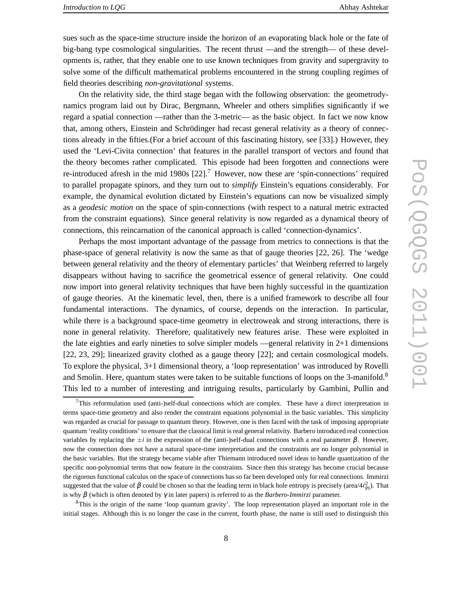sues such as the space-time structure inside the horizon of an evaporating black hole or the fate of big-bang type cosmological singularities. The recent thrust —and the strength— of these developments is, rather, that they enable one to use known techniques from gravity and supergravity to solve some of the difficult mathematical problems encountered in the strong coupling regimes of field theories describing *non-gravitational* systems.

On the relativity side, the third stage began with the following observation: the geometrodynamics program laid out by Dirac, Bergmann, Wheeler and others simplifies significantly if we regard a spatial connection —rather than the 3-metric— as the basic object. In fact we now know that, among others, Einstein and Schrödinger had recast general relativity as a theory of connections already in the fifties.(For a brief account of this fascinating history, see [33].) However, they used the 'Levi-Civita connection' that features in the parallel transport of vectors and found that the theory becomes rather complicated. This episode had been forgotten and connections were re-introduced afresh in the mid 1980s  $[22]$ .<sup>7</sup> However, now these are 'spin-connections' required to parallel propagate spinors, and they turn out to *simplify* Einstein's equations considerably. For example, the dynamical evolution dictated by Einstein's equations can now be visualized simply as a *geodesic motion* on the space of spin-connections (with respect to a natural metric extracted from the constraint equations). Since general relativity is now regarded as a dynamical theory of connections, this reincarnation of the canonical approach is called 'connection-dynamics'.

Perhaps the most important advantage of the passage from metrics to connections is that the phase-space of general relativity is now the same as that of gauge theories [22, 26]. The 'wedge between general relativity and the theory of elementary particles' that Weinberg referred to largely disappears without having to sacrifice the geometrical essence of general relativity. One could now import into general relativity techniques that have been highly successful in the quantization of gauge theories. At the kinematic level, then, there is a unified framework to describe all four fundamental interactions. The dynamics, of course, depends on the interaction. In particular, while there is a background space-time geometry in electroweak and strong interactions, there is none in general relativity. Therefore, qualitatively new features arise. These were exploited in the late eighties and early nineties to solve simpler models —general relativity in 2+1 dimensions [22, 23, 29]; linearized gravity clothed as a gauge theory [22]; and certain cosmological models. To explore the physical, 3+1 dimensional theory, a 'loop representation' was introduced by Rovelli and Smolin. Here, quantum states were taken to be suitable functions of loops on the 3-manifold.<sup>8</sup> This led to a number of interesting and intriguing results, particularly by Gambini, Pullin and

<sup>7</sup>This reformulation used (anti-)self-dual connections which are complex. These have a direct interpretation in terms space-time geometry and also render the constraint equations polynomial in the basic variables. This simplicity was regarded as crucial for passage to quantum theory. However, one is then faced with the task of imposing appropriate quantum 'reality conditions' to ensure that the classical limit is real general relativity. Barbero introduced real connection variables by replacing the ±*i* in the expression of the (anti-)self-dual connections with a real parameter β. However, now the connection does not have a natural space-time interpretation and the constraints are no longer polynomial in the basic variables. But the strategy became viable after Thiemann introduced novel ideas to handle quantization of the specific non-polynomial terms that now feature in the constraints. Since then this strategy has become crucial because the rigorous functional calculus on the space of connections has so far been developed only for real connections. Immirzi suggested that the value of  $\beta$  could be chosen so that the leading term in black hole entropy is precisely (area/4 $\ell_{\rm Pl}^2$ ). That is why β (which is often denoted by γ in later papers) is referred to as the *Barbero-Immirzi* parameter.

<sup>8</sup>This is the origin of the name 'loop quantum gravity'. The loop representation played an important role in the initial stages. Although this is no longer the case in the current, fourth phase, the name is still used to distinguish this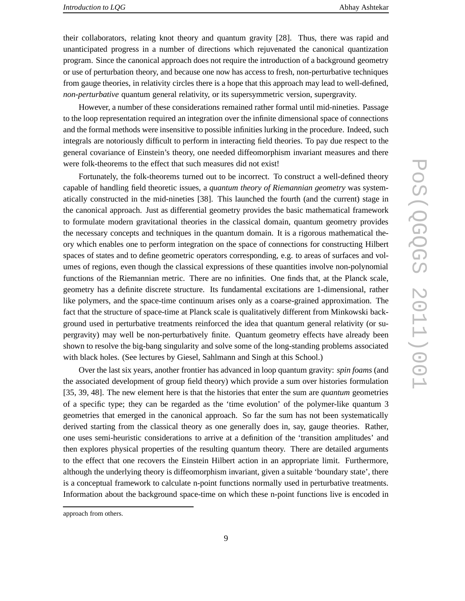their collaborators, relating knot theory and quantum gravity [28]. Thus, there was rapid and unanticipated progress in a number of directions which rejuvenated the canonical quantization program. Since the canonical approach does not require the introduction of a background geometry or use of perturbation theory, and because one now has access to fresh, non-perturbative techniques from gauge theories, in relativity circles there is a hope that this approach may lead to well-defined, *non-perturbative* quantum general relativity, or its supersymmetric version, supergravity.

However, a number of these considerations remained rather formal until mid-nineties. Passage to the loop representation required an integration over the infinite dimensional space of connections and the formal methods were insensitive to possible infinities lurking in the procedure. Indeed, such integrals are notoriously difficult to perform in interacting field theories. To pay due respect to the general covariance of Einstein's theory, one needed diffeomorphism invariant measures and there were folk-theorems to the effect that such measures did not exist!

Fortunately, the folk-theorems turned out to be incorrect. To construct a well-defined theory capable of handling field theoretic issues, a *quantum theory of Riemannian geometry* was systematically constructed in the mid-nineties [38]. This launched the fourth (and the current) stage in the canonical approach. Just as differential geometry provides the basic mathematical framework to formulate modern gravitational theories in the classical domain, quantum geometry provides the necessary concepts and techniques in the quantum domain. It is a rigorous mathematical theory which enables one to perform integration on the space of connections for constructing Hilbert spaces of states and to define geometric operators corresponding, e.g. to areas of surfaces and volumes of regions, even though the classical expressions of these quantities involve non-polynomial functions of the Riemannian metric. There are no infinities. One finds that, at the Planck scale, geometry has a definite discrete structure. Its fundamental excitations are 1-dimensional, rather like polymers, and the space-time continuum arises only as a coarse-grained approximation. The fact that the structure of space-time at Planck scale is qualitatively different from Minkowski background used in perturbative treatments reinforced the idea that quantum general relativity (or supergravity) may well be non-perturbatively finite. Quantum geometry effects have already been shown to resolve the big-bang singularity and solve some of the long-standing problems associated with black holes. (See lectures by Giesel, Sahlmann and Singh at this School.)

Over the last six years, another frontier has advanced in loop quantum gravity: *spin foams* (and the associated development of group field theory) which provide a sum over histories formulation [35, 39, 48]. The new element here is that the histories that enter the sum are *quantum* geometries of a specific type; they can be regarded as the 'time evolution' of the polymer-like quantum 3 geometries that emerged in the canonical approach. So far the sum has not been systematically derived starting from the classical theory as one generally does in, say, gauge theories. Rather, one uses semi-heuristic considerations to arrive at a definition of the 'transition amplitudes' and then explores physical properties of the resulting quantum theory. There are detailed arguments to the effect that one recovers the Einstein Hilbert action in an appropriate limit. Furthermore, although the underlying theory is diffeomorphism invariant, given a suitable 'boundary state', there is a conceptual framework to calculate n-point functions normally used in perturbative treatments. Information about the background space-time on which these n-point functions live is encoded in

approach from others.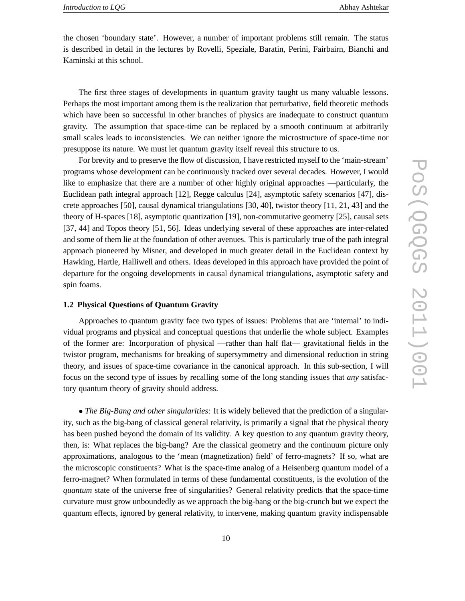the chosen 'boundary state'. However, a number of important problems still remain. The status is described in detail in the lectures by Rovelli, Speziale, Baratin, Perini, Fairbairn, Bianchi and Kaminski at this school.

The first three stages of developments in quantum gravity taught us many valuable lessons. Perhaps the most important among them is the realization that perturbative, field theoretic methods which have been so successful in other branches of physics are inadequate to construct quantum gravity. The assumption that space-time can be replaced by a smooth continuum at arbitrarily small scales leads to inconsistencies. We can neither ignore the microstructure of space-time nor presuppose its nature. We must let quantum gravity itself reveal this structure to us.

For brevity and to preserve the flow of discussion, I have restricted myself to the 'main-stream' programs whose development can be continuously tracked over several decades. However, I would like to emphasize that there are a number of other highly original approaches —particularly, the Euclidean path integral approach [12], Regge calculus [24], asymptotic safety scenarios [47], discrete approaches [50], causal dynamical triangulations [30, 40], twistor theory [11, 21, 43] and the theory of H-spaces [18], asymptotic quantization [19], non-commutative geometry [25], causal sets [37, 44] and Topos theory [51, 56]. Ideas underlying several of these approaches are inter-related and some of them lie at the foundation of other avenues. This is particularly true of the path integral approach pioneered by Misner, and developed in much greater detail in the Euclidean context by Hawking, Hartle, Halliwell and others. Ideas developed in this approach have provided the point of departure for the ongoing developments in causal dynamical triangulations, asymptotic safety and spin foams.

## **1.2 Physical Questions of Quantum Gravity**

Approaches to quantum gravity face two types of issues: Problems that are 'internal' to individual programs and physical and conceptual questions that underlie the whole subject. Examples of the former are: Incorporation of physical —rather than half flat— gravitational fields in the twistor program, mechanisms for breaking of supersymmetry and dimensional reduction in string theory, and issues of space-time covariance in the canonical approach. In this sub-section, I will focus on the second type of issues by recalling some of the long standing issues that *any* satisfactory quantum theory of gravity should address.

• *The Big-Bang and other singularities*: It is widely believed that the prediction of a singularity, such as the big-bang of classical general relativity, is primarily a signal that the physical theory has been pushed beyond the domain of its validity. A key question to any quantum gravity theory, then, is: What replaces the big-bang? Are the classical geometry and the continuum picture only approximations, analogous to the 'mean (magnetization) field' of ferro-magnets? If so, what are the microscopic constituents? What is the space-time analog of a Heisenberg quantum model of a ferro-magnet? When formulated in terms of these fundamental constituents, is the evolution of the *quantum* state of the universe free of singularities? General relativity predicts that the space-time curvature must grow unboundedly as we approach the big-bang or the big-crunch but we expect the quantum effects, ignored by general relativity, to intervene, making quantum gravity indispensable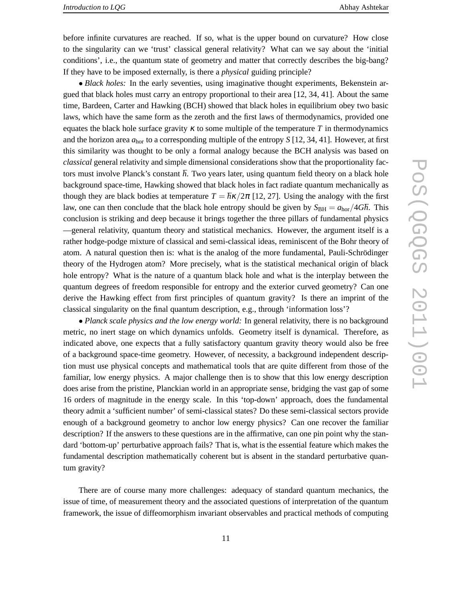before infinite curvatures are reached. If so, what is the upper bound on curvature? How close to the singularity can we 'trust' classical general relativity? What can we say about the 'initial conditions', i.e., the quantum state of geometry and matter that correctly describes the big-bang? If they have to be imposed externally, is there a *physical* guiding principle?

• *Black holes:* In the early seventies, using imaginative thought experiments, Bekenstein argued that black holes must carry an entropy proportional to their area [12, 34, 41]. About the same time, Bardeen, Carter and Hawking (BCH) showed that black holes in equilibrium obey two basic laws, which have the same form as the zeroth and the first laws of thermodynamics, provided one equates the black hole surface gravity  $\kappa$  to some multiple of the temperature T in thermodynamics and the horizon area *a*hor to a corresponding multiple of the entropy *S* [12, 34, 41]. However, at first this similarity was thought to be only a formal analogy because the BCH analysis was based on *classical* general relativity and simple dimensional considerations show that the proportionality factors must involve Planck's constant  $\hbar$ . Two years later, using quantum field theory on a black hole background space-time, Hawking showed that black holes in fact radiate quantum mechanically as though they are black bodies at temperature  $T = \hbar \kappa / 2\pi$  [12, 27]. Using the analogy with the first law, one can then conclude that the black hole entropy should be given by  $S_{BH} = a_{hor}/4G\hbar$ . This conclusion is striking and deep because it brings together the three pillars of fundamental physics —general relativity, quantum theory and statistical mechanics. However, the argument itself is a rather hodge-podge mixture of classical and semi-classical ideas, reminiscent of the Bohr theory of atom. A natural question then is: what is the analog of the more fundamental, Pauli-Schrödinger theory of the Hydrogen atom? More precisely, what is the statistical mechanical origin of black hole entropy? What is the nature of a quantum black hole and what is the interplay between the quantum degrees of freedom responsible for entropy and the exterior curved geometry? Can one derive the Hawking effect from first principles of quantum gravity? Is there an imprint of the classical singularity on the final quantum description, e.g., through 'information loss'?

• *Planck scale physics and the low energy world:* In general relativity, there is no background metric, no inert stage on which dynamics unfolds. Geometry itself is dynamical. Therefore, as indicated above, one expects that a fully satisfactory quantum gravity theory would also be free of a background space-time geometry. However, of necessity, a background independent description must use physical concepts and mathematical tools that are quite different from those of the familiar, low energy physics. A major challenge then is to show that this low energy description does arise from the pristine, Planckian world in an appropriate sense, bridging the vast gap of some 16 orders of magnitude in the energy scale. In this 'top-down' approach, does the fundamental theory admit a 'sufficient number' of semi-classical states? Do these semi-classical sectors provide enough of a background geometry to anchor low energy physics? Can one recover the familiar description? If the answers to these questions are in the affirmative, can one pin point why the standard 'bottom-up' perturbative approach fails? That is, what is the essential feature which makes the fundamental description mathematically coherent but is absent in the standard perturbative quantum gravity?

There are of course many more challenges: adequacy of standard quantum mechanics, the issue of time, of measurement theory and the associated questions of interpretation of the quantum framework, the issue of diffeomorphism invariant observables and practical methods of computing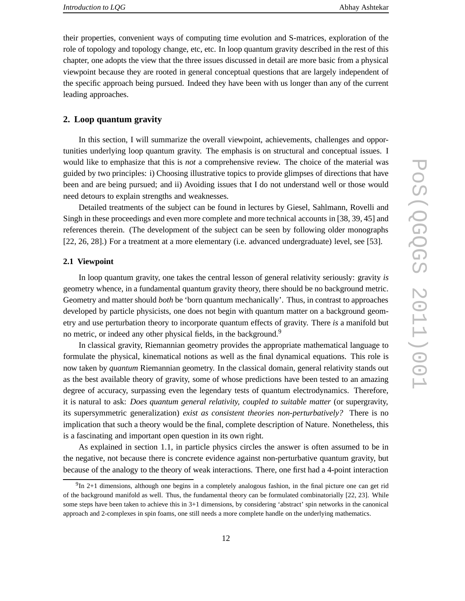their properties, convenient ways of computing time evolution and S-matrices, exploration of the role of topology and topology change, etc, etc. In loop quantum gravity described in the rest of this chapter, one adopts the view that the three issues discussed in detail are more basic from a physical viewpoint because they are rooted in general conceptual questions that are largely independent of the specific approach being pursued. Indeed they have been with us longer than any of the current leading approaches.

## **2. Loop quantum gravity**

In this section, I will summarize the overall viewpoint, achievements, challenges and opportunities underlying loop quantum gravity. The emphasis is on structural and conceptual issues. I would like to emphasize that this is *not* a comprehensive review. The choice of the material was guided by two principles: i) Choosing illustrative topics to provide glimpses of directions that have been and are being pursued; and ii) Avoiding issues that I do not understand well or those would need detours to explain strengths and weaknesses.

Detailed treatments of the subject can be found in lectures by Giesel, Sahlmann, Rovelli and Singh in these proceedings and even more complete and more technical accounts in [38, 39, 45] and references therein. (The development of the subject can be seen by following older monographs [22, 26, 28].) For a treatment at a more elementary (i.e. advanced undergraduate) level, see [53].

#### **2.1 Viewpoint**

In loop quantum gravity, one takes the central lesson of general relativity seriously: gravity *is* geometry whence, in a fundamental quantum gravity theory, there should be no background metric. Geometry and matter should *both* be 'born quantum mechanically'. Thus, in contrast to approaches developed by particle physicists, one does not begin with quantum matter on a background geometry and use perturbation theory to incorporate quantum effects of gravity. There *is* a manifold but no metric, or indeed any other physical fields, in the background.<sup>9</sup>

In classical gravity, Riemannian geometry provides the appropriate mathematical language to formulate the physical, kinematical notions as well as the final dynamical equations. This role is now taken by *quantum* Riemannian geometry. In the classical domain, general relativity stands out as the best available theory of gravity, some of whose predictions have been tested to an amazing degree of accuracy, surpassing even the legendary tests of quantum electrodynamics. Therefore, it is natural to ask: *Does quantum general relativity, coupled to suitable matter* (or supergravity, its supersymmetric generalization) *exist as consistent theories non-perturbatively?* There is no implication that such a theory would be the final, complete description of Nature. Nonetheless, this is a fascinating and important open question in its own right.

As explained in section 1.1, in particle physics circles the answer is often assumed to be in the negative, not because there is concrete evidence against non-perturbative quantum gravity, but because of the analogy to the theory of weak interactions. There, one first had a 4-point interaction

 $9$ In 2+1 dimensions, although one begins in a completely analogous fashion, in the final picture one can get rid of the background manifold as well. Thus, the fundamental theory can be formulated combinatorially [22, 23]. While some steps have been taken to achieve this in 3+1 dimensions, by considering 'abstract' spin networks in the canonical approach and 2-complexes in spin foams, one still needs a more complete handle on the underlying mathematics.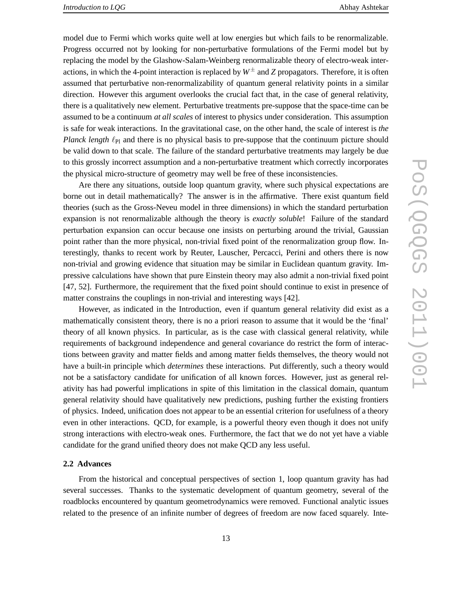model due to Fermi which works quite well at low energies but which fails to be renormalizable. Progress occurred not by looking for non-perturbative formulations of the Fermi model but by replacing the model by the Glashow-Salam-Weinberg renormalizable theory of electro-weak interactions, in which the 4-point interaction is replaced by  $W^{\pm}$  and *Z* propagators. Therefore, it is often assumed that perturbative non-renormalizability of quantum general relativity points in a similar direction. However this argument overlooks the crucial fact that, in the case of general relativity, there is a qualitatively new element. Perturbative treatments pre-suppose that the space-time can be assumed to be a continuum *at all scales* of interest to physics under consideration. This assumption is safe for weak interactions. In the gravitational case, on the other hand, the scale of interest is *the Planck length*  $\ell_{\text{Pl}}$  and there is no physical basis to pre-suppose that the continuum picture should be valid down to that scale. The failure of the standard perturbative treatments may largely be due to this grossly incorrect assumption and a non-perturbative treatment which correctly incorporates the physical micro-structure of geometry may well be free of these inconsistencies.

Are there any situations, outside loop quantum gravity, where such physical expectations are borne out in detail mathematically? The answer is in the affirmative. There exist quantum field theories (such as the Gross-Neveu model in three dimensions) in which the standard perturbation expansion is not renormalizable although the theory is *exactly soluble*! Failure of the standard perturbation expansion can occur because one insists on perturbing around the trivial, Gaussian point rather than the more physical, non-trivial fixed point of the renormalization group flow. Interestingly, thanks to recent work by Reuter, Lauscher, Percacci, Perini and others there is now non-trivial and growing evidence that situation may be similar in Euclidean quantum gravity. Impressive calculations have shown that pure Einstein theory may also admit a non-trivial fixed point [47, 52]. Furthermore, the requirement that the fixed point should continue to exist in presence of matter constrains the couplings in non-trivial and interesting ways [42].

However, as indicated in the Introduction, even if quantum general relativity did exist as a mathematically consistent theory, there is no a priori reason to assume that it would be the 'final' theory of all known physics. In particular, as is the case with classical general relativity, while requirements of background independence and general covariance do restrict the form of interactions between gravity and matter fields and among matter fields themselves, the theory would not have a built-in principle which *determines* these interactions. Put differently, such a theory would not be a satisfactory candidate for unification of all known forces. However, just as general relativity has had powerful implications in spite of this limitation in the classical domain, quantum general relativity should have qualitatively new predictions, pushing further the existing frontiers of physics. Indeed, unification does not appear to be an essential criterion for usefulness of a theory even in other interactions. QCD, for example, is a powerful theory even though it does not unify strong interactions with electro-weak ones. Furthermore, the fact that we do not yet have a viable candidate for the grand unified theory does not make QCD any less useful.

#### **2.2 Advances**

From the historical and conceptual perspectives of section 1, loop quantum gravity has had several successes. Thanks to the systematic development of quantum geometry, several of the roadblocks encountered by quantum geometrodynamics were removed. Functional analytic issues related to the presence of an infinite number of degrees of freedom are now faced squarely. Inte-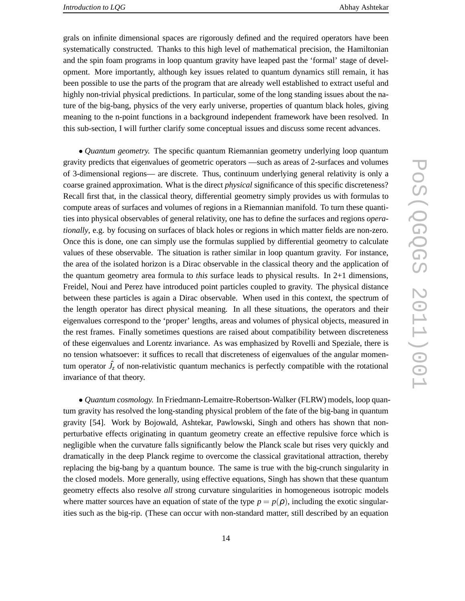grals on infinite dimensional spaces are rigorously defined and the required operators have been systematically constructed. Thanks to this high level of mathematical precision, the Hamiltonian and the spin foam programs in loop quantum gravity have leaped past the 'formal' stage of development. More importantly, although key issues related to quantum dynamics still remain, it has been possible to use the parts of the program that are already well established to extract useful and highly non-trivial physical predictions. In particular, some of the long standing issues about the nature of the big-bang, physics of the very early universe, properties of quantum black holes, giving meaning to the n-point functions in a background independent framework have been resolved. In this sub-section, I will further clarify some conceptual issues and discuss some recent advances.

• *Quantum geometry.* The specific quantum Riemannian geometry underlying loop quantum gravity predicts that eigenvalues of geometric operators —such as areas of 2-surfaces and volumes of 3-dimensional regions— are discrete. Thus, continuum underlying general relativity is only a coarse grained approximation. What is the direct *physical* significance of this specific discreteness? Recall first that, in the classical theory, differential geometry simply provides us with formulas to compute areas of surfaces and volumes of regions in a Riemannian manifold. To turn these quantities into physical observables of general relativity, one has to define the surfaces and regions *operationally*, e.g. by focusing on surfaces of black holes or regions in which matter fields are non-zero. Once this is done, one can simply use the formulas supplied by differential geometry to calculate values of these observable. The situation is rather similar in loop quantum gravity. For instance, the area of the isolated horizon is a Dirac observable in the classical theory and the application of the quantum geometry area formula to *this* surface leads to physical results. In 2+1 dimensions, Freidel, Noui and Perez have introduced point particles coupled to gravity. The physical distance between these particles is again a Dirac observable. When used in this context, the spectrum of the length operator has direct physical meaning. In all these situations, the operators and their eigenvalues correspond to the 'proper' lengths, areas and volumes of physical objects, measured in the rest frames. Finally sometimes questions are raised about compatibility between discreteness of these eigenvalues and Lorentz invariance. As was emphasized by Rovelli and Speziale, there is no tension whatsoever: it suffices to recall that discreteness of eigenvalues of the angular momentum operator  $\hat{J}_z$  of non-relativistic quantum mechanics is perfectly compatible with the rotational invariance of that theory.

• *Quantum cosmology.* In Friedmann-Lemaitre-Robertson-Walker (FLRW) models, loop quantum gravity has resolved the long-standing physical problem of the fate of the big-bang in quantum gravity [54]. Work by Bojowald, Ashtekar, Pawlowski, Singh and others has shown that nonperturbative effects originating in quantum geometry create an effective repulsive force which is negligible when the curvature falls significantly below the Planck scale but rises very quickly and dramatically in the deep Planck regime to overcome the classical gravitational attraction, thereby replacing the big-bang by a quantum bounce. The same is true with the big-crunch singularity in the closed models. More generally, using effective equations, Singh has shown that these quantum geometry effects also resolve *all* strong curvature singularities in homogeneous isotropic models where matter sources have an equation of state of the type  $p = p(\rho)$ , including the exotic singularities such as the big-rip. (These can occur with non-standard matter, still described by an equation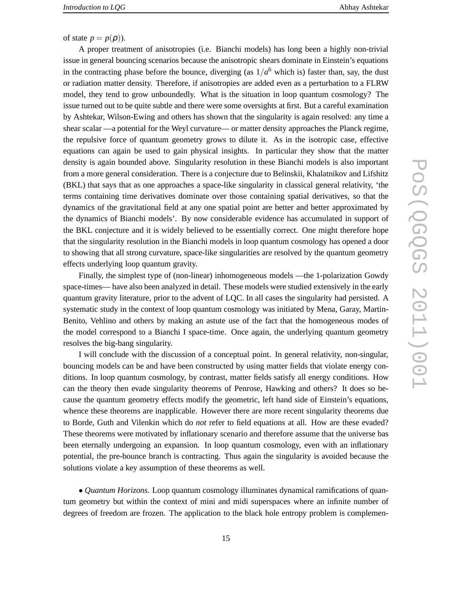of state  $p = p(\rho)$ ).

A proper treatment of anisotropies (i.e. Bianchi models) has long been a highly non-trivial issue in general bouncing scenarios because the anisotropic shears dominate in Einstein's equations in the contracting phase before the bounce, diverging (as  $1/a<sup>6</sup>$  which is) faster than, say, the dust or radiation matter density. Therefore, if anisotropies are added even as a perturbation to a FLRW model, they tend to grow unboundedly. What is the situation in loop quantum cosmology? The issue turned out to be quite subtle and there were some oversights at first. But a careful examination by Ashtekar, Wilson-Ewing and others has shown that the singularity is again resolved: any time a shear scalar —a potential for the Weyl curvature— or matter density approaches the Planck regime, the repulsive force of quantum geometry grows to dilute it. As in the isotropic case, effective equations can again be used to gain physical insights. In particular they show that the matter density is again bounded above. Singularity resolution in these Bianchi models is also important from a more general consideration. There is a conjecture due to Belinskii, Khalatnikov and Lifshitz (BKL) that says that as one approaches a space-like singularity in classical general relativity, 'the terms containing time derivatives dominate over those containing spatial derivatives, so that the dynamics of the gravitational field at any one spatial point are better and better approximated by the dynamics of Bianchi models'. By now considerable evidence has accumulated in support of the BKL conjecture and it is widely believed to be essentially correct. One might therefore hope that the singularity resolution in the Bianchi models in loop quantum cosmology has opened a door to showing that all strong curvature, space-like singularities are resolved by the quantum geometry effects underlying loop quantum gravity.

Finally, the simplest type of (non-linear) inhomogeneous models —the 1-polarization Gowdy space-times— have also been analyzed in detail. These models were studied extensively in the early quantum gravity literature, prior to the advent of LQC. In all cases the singularity had persisted. A systematic study in the context of loop quantum cosmology was initiated by Mena, Garay, Martin-Benito, Vehlino and others by making an astute use of the fact that the homogeneous modes of the model correspond to a Bianchi I space-time. Once again, the underlying quantum geometry resolves the big-bang singularity.

I will conclude with the discussion of a conceptual point. In general relativity, non-singular, bouncing models can be and have been constructed by using matter fields that violate energy conditions. In loop quantum cosmology, by contrast, matter fields satisfy all energy conditions. How can the theory then evade singularity theorems of Penrose, Hawking and others? It does so because the quantum geometry effects modify the geometric, left hand side of Einstein's equations, whence these theorems are inapplicable. However there are more recent singularity theorems due to Borde, Guth and Vilenkin which do *not* refer to field equations at all. How are these evaded? These theorems were motivated by inflationary scenario and therefore assume that the universe bas been eternally undergoing an expansion. In loop quantum cosmology, even with an inflationary potential, the pre-bounce branch is contracting. Thus again the singularity is avoided because the solutions violate a key assumption of these theorems as well.

• *Quantum Horizons.* Loop quantum cosmology illuminates dynamical ramifications of quantum geometry but within the context of mini and midi superspaces where an infinite number of degrees of freedom are frozen. The application to the black hole entropy problem is complemen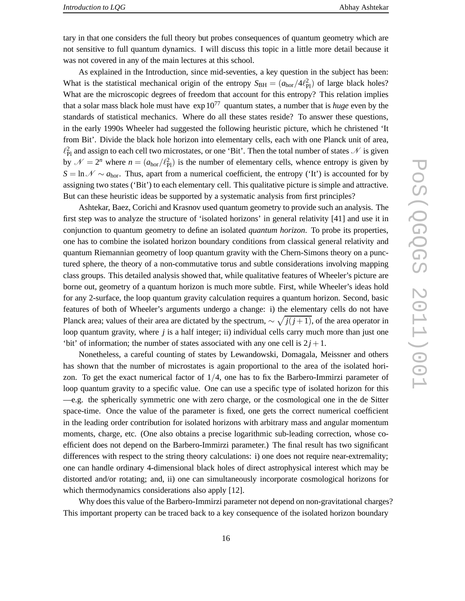tary in that one considers the full theory but probes consequences of quantum geometry which are not sensitive to full quantum dynamics. I will discuss this topic in a little more detail because it was not covered in any of the main lectures at this school.

As explained in the Introduction, since mid-seventies, a key question in the subject has been: What is the statistical mechanical origin of the entropy  $S_{BH} = (a_{hor}/4\ell_{Pl}^2)$  of large black holes? What are the microscopic degrees of freedom that account for this entropy? This relation implies that a solar mass black hole must have  $\exp 10^{77}$  quantum states, a number that is *huge* even by the standards of statistical mechanics. Where do all these states reside? To answer these questions, in the early 1990s Wheeler had suggested the following heuristic picture, which he christened 'It from Bit'. Divide the black hole horizon into elementary cells, each with one Planck unit of area,  $\ell_{\rm Pl}^2$  and assign to each cell two microstates, or one 'Bit'. Then the total number of states  $\mathcal N$  is given by  $\mathcal{N} = 2^n$  where  $n = (a_{\text{hor}}/\ell_{\text{Pl}}^2)$  is the number of elementary cells, whence entropy is given by  $S = \ln \mathcal{N} \sim a_{\text{hor}}$ . Thus, apart from a numerical coefficient, the entropy ('It') is accounted for by assigning two states ('Bit') to each elementary cell. This qualitative picture is simple and attractive. But can these heuristic ideas be supported by a systematic analysis from first principles?

Ashtekar, Baez, Corichi and Krasnov used quantum geometry to provide such an analysis. The first step was to analyze the structure of 'isolated horizons' in general relativity [41] and use it in conjunction to quantum geometry to define an isolated *quantum horizon*. To probe its properties, one has to combine the isolated horizon boundary conditions from classical general relativity and quantum Riemannian geometry of loop quantum gravity with the Chern-Simons theory on a punctured sphere, the theory of a non-commutative torus and subtle considerations involving mapping class groups. This detailed analysis showed that, while qualitative features of Wheeler's picture are borne out, geometry of a quantum horizon is much more subtle. First, while Wheeler's ideas hold for any 2-surface, the loop quantum gravity calculation requires a quantum horizon. Second, basic features of both of Wheeler's arguments undergo a change: i) the elementary cells do not have Planck area; values of their area are dictated by the spectrum,  $\sim \sqrt{j(j+1)}$ , of the area operator in loop quantum gravity, where *j* is a half integer; ii) individual cells carry much more than just one 'bit' of information; the number of states associated with any one cell is  $2j + 1$ .

Nonetheless, a careful counting of states by Lewandowski, Domagala, Meissner and others has shown that the number of microstates is again proportional to the area of the isolated horizon. To get the exact numerical factor of  $1/4$ , one has to fix the Barbero-Immirzi parameter of loop quantum gravity to a specific value. One can use a specific type of isolated horizon for this —e.g. the spherically symmetric one with zero charge, or the cosmological one in the de Sitter space-time. Once the value of the parameter is fixed, one gets the correct numerical coefficient in the leading order contribution for isolated horizons with arbitrary mass and angular momentum moments, charge, etc. (One also obtains a precise logarithmic sub-leading correction, whose coefficient does not depend on the Barbero-Immirzi parameter.) The final result has two significant differences with respect to the string theory calculations: i) one does not require near-extremality; one can handle ordinary 4-dimensional black holes of direct astrophysical interest which may be distorted and/or rotating; and, ii) one can simultaneously incorporate cosmological horizons for which thermodynamics considerations also apply [12].

Why does this value of the Barbero-Immirzi parameter not depend on non-gravitational charges? This important property can be traced back to a key consequence of the isolated horizon boundary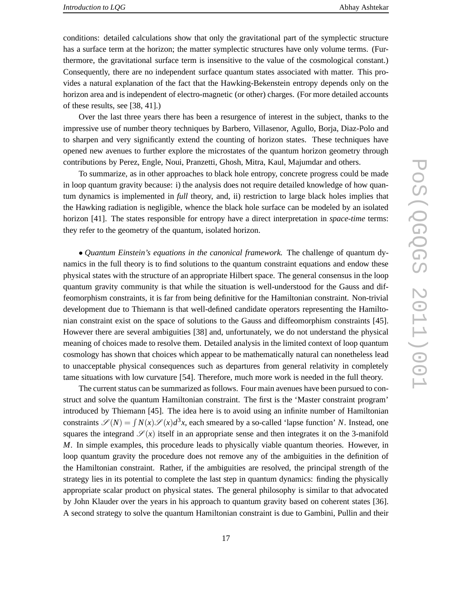conditions: detailed calculations show that only the gravitational part of the symplectic structure has a surface term at the horizon; the matter symplectic structures have only volume terms. (Furthermore, the gravitational surface term is insensitive to the value of the cosmological constant.) Consequently, there are no independent surface quantum states associated with matter. This provides a natural explanation of the fact that the Hawking-Bekenstein entropy depends only on the horizon area and is independent of electro-magnetic (or other) charges. (For more detailed accounts of these results, see [38, 41].)

Over the last three years there has been a resurgence of interest in the subject, thanks to the impressive use of number theory techniques by Barbero, Villasenor, Agullo, Borja, Diaz-Polo and to sharpen and very significantly extend the counting of horizon states. These techniques have opened new avenues to further explore the microstates of the quantum horizon geometry through contributions by Perez, Engle, Noui, Pranzetti, Ghosh, Mitra, Kaul, Majumdar and others.

To summarize, as in other approaches to black hole entropy, concrete progress could be made in loop quantum gravity because: i) the analysis does not require detailed knowledge of how quantum dynamics is implemented in *full* theory, and, ii) restriction to large black holes implies that the Hawking radiation is negligible, whence the black hole surface can be modeled by an isolated horizon [41]. The states responsible for entropy have a direct interpretation in *space-time* terms: they refer to the geometry of the quantum, isolated horizon.

• *Quantum Einstein's equations in the canonical framework.* The challenge of quantum dynamics in the full theory is to find solutions to the quantum constraint equations and endow these physical states with the structure of an appropriate Hilbert space. The general consensus in the loop quantum gravity community is that while the situation is well-understood for the Gauss and diffeomorphism constraints, it is far from being definitive for the Hamiltonian constraint. Non-trivial development due to Thiemann is that well-defined candidate operators representing the Hamiltonian constraint exist on the space of solutions to the Gauss and diffeomorphism constraints [45]. However there are several ambiguities [38] and, unfortunately, we do not understand the physical meaning of choices made to resolve them. Detailed analysis in the limited context of loop quantum cosmology has shown that choices which appear to be mathematically natural can nonetheless lead to unacceptable physical consequences such as departures from general relativity in completely tame situations with low curvature [54]. Therefore, much more work is needed in the full theory.

The current status can be summarized as follows. Four main avenues have been pursued to construct and solve the quantum Hamiltonian constraint. The first is the 'Master constraint program' introduced by Thiemann [45]. The idea here is to avoid using an infinite number of Hamiltonian constraints  $\mathscr{S}(N) = \int N(x) \mathscr{S}(x) d^3x$ , each smeared by a so-called 'lapse function' *N*. Instead, one squares the integrand  $\mathscr{S}(x)$  itself in an appropriate sense and then integrates it on the 3-manifold *M*. In simple examples, this procedure leads to physically viable quantum theories. However, in loop quantum gravity the procedure does not remove any of the ambiguities in the definition of the Hamiltonian constraint. Rather, if the ambiguities are resolved, the principal strength of the strategy lies in its potential to complete the last step in quantum dynamics: finding the physically appropriate scalar product on physical states. The general philosophy is similar to that advocated by John Klauder over the years in his approach to quantum gravity based on coherent states [36]. A second strategy to solve the quantum Hamiltonian constraint is due to Gambini, Pullin and their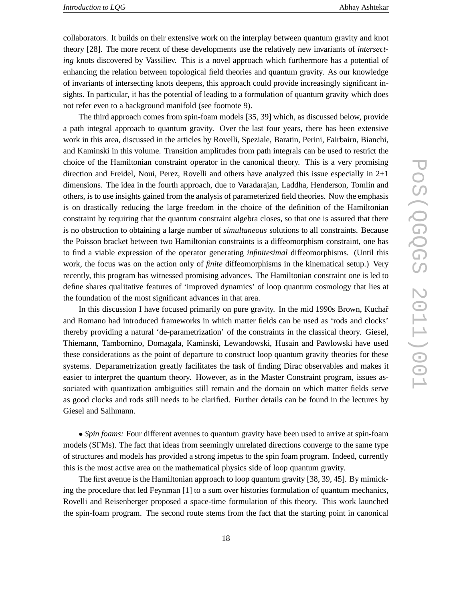collaborators. It builds on their extensive work on the interplay between quantum gravity and knot theory [28]. The more recent of these developments use the relatively new invariants of *intersecting* knots discovered by Vassiliev. This is a novel approach which furthermore has a potential of enhancing the relation between topological field theories and quantum gravity. As our knowledge of invariants of intersecting knots deepens, this approach could provide increasingly significant insights. In particular, it has the potential of leading to a formulation of quantum gravity which does not refer even to a background manifold (see footnote 9).

The third approach comes from spin-foam models [35, 39] which, as discussed below, provide a path integral approach to quantum gravity. Over the last four years, there has been extensive work in this area, discussed in the articles by Rovelli, Speziale, Baratin, Perini, Fairbairn, Bianchi, and Kaminski in this volume. Transition amplitudes from path integrals can be used to restrict the choice of the Hamiltonian constraint operator in the canonical theory. This is a very promising direction and Freidel, Noui, Perez, Rovelli and others have analyzed this issue especially in 2+1 dimensions. The idea in the fourth approach, due to Varadarajan, Laddha, Henderson, Tomlin and others, is to use insights gained from the analysis of parameterized field theories. Now the emphasis is on drastically reducing the large freedom in the choice of the definition of the Hamiltonian constraint by requiring that the quantum constraint algebra closes, so that one is assured that there is no obstruction to obtaining a large number of *simultaneous* solutions to all constraints. Because the Poisson bracket between two Hamiltonian constraints is a diffeomorphism constraint, one has to find a viable expression of the operator generating *infinitesimal* diffeomorphisms. (Until this work, the focus was on the action only of *finite* diffeomorphisms in the kinematical setup.) Very recently, this program has witnessed promising advances. The Hamiltonian constraint one is led to define shares qualitative features of 'improved dynamics' of loop quantum cosmology that lies at the foundation of the most significant advances in that area.

In this discussion I have focused primarily on pure gravity. In the mid 1990s Brown, Kuchař and Romano had introduced frameworks in which matter fields can be used as 'rods and clocks' thereby providing a natural 'de-parametrization' of the constraints in the classical theory. Giesel, Thiemann, Tambornino, Domagala, Kaminski, Lewandowski, Husain and Pawlowski have used these considerations as the point of departure to construct loop quantum gravity theories for these systems. Deparametrization greatly facilitates the task of finding Dirac observables and makes it easier to interpret the quantum theory. However, as in the Master Constraint program, issues associated with quantization ambiguities still remain and the domain on which matter fields serve as good clocks and rods still needs to be clarified. Further details can be found in the lectures by Giesel and Salhmann.

• *Spin foams:* Four different avenues to quantum gravity have been used to arrive at spin-foam models (SFMs). The fact that ideas from seemingly unrelated directions converge to the same type of structures and models has provided a strong impetus to the spin foam program. Indeed, currently this is the most active area on the mathematical physics side of loop quantum gravity.

The first avenue is the Hamiltonian approach to loop quantum gravity [38, 39, 45]. By mimicking the procedure that led Feynman [1] to a sum over histories formulation of quantum mechanics, Rovelli and Reisenberger proposed a space-time formulation of this theory. This work launched the spin-foam program. The second route stems from the fact that the starting point in canonical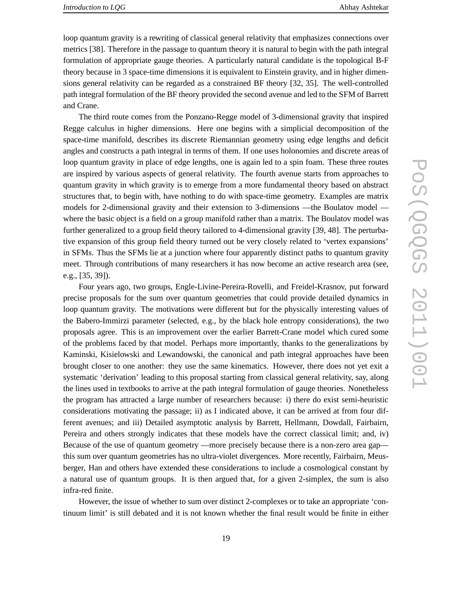loop quantum gravity is a rewriting of classical general relativity that emphasizes connections over metrics [38]. Therefore in the passage to quantum theory it is natural to begin with the path integral formulation of appropriate gauge theories. A particularly natural candidate is the topological B-F theory because in 3 space-time dimensions it is equivalent to Einstein gravity, and in higher dimensions general relativity can be regarded as a constrained BF theory [32, 35]. The well-controlled path integral formulation of the BF theory provided the second avenue and led to the SFM of Barrett and Crane.

The third route comes from the Ponzano-Regge model of 3-dimensional gravity that inspired Regge calculus in higher dimensions. Here one begins with a simplicial decomposition of the space-time manifold, describes its discrete Riemannian geometry using edge lengths and deficit angles and constructs a path integral in terms of them. If one uses holonomies and discrete areas of loop quantum gravity in place of edge lengths, one is again led to a spin foam. These three routes are inspired by various aspects of general relativity. The fourth avenue starts from approaches to quantum gravity in which gravity is to emerge from a more fundamental theory based on abstract structures that, to begin with, have nothing to do with space-time geometry. Examples are matrix models for 2-dimensional gravity and their extension to 3-dimensions —the Boulatov model where the basic object is a field on a group manifold rather than a matrix. The Boulatov model was further generalized to a group field theory tailored to 4-dimensional gravity [39, 48]. The perturbative expansion of this group field theory turned out be very closely related to 'vertex expansions' in SFMs. Thus the SFMs lie at a junction where four apparently distinct paths to quantum gravity meet. Through contributions of many researchers it has now become an active research area (see, e.g., [35, 39]).

Four years ago, two groups, Engle-Livine-Pereira-Rovelli, and Freidel-Krasnov, put forward precise proposals for the sum over quantum geometries that could provide detailed dynamics in loop quantum gravity. The motivations were different but for the physically interesting values of the Babero-Immirzi parameter (selected, e.g., by the black hole entropy considerations), the two proposals agree. This is an improvement over the earlier Barrett-Crane model which cured some of the problems faced by that model. Perhaps more importantly, thanks to the generalizations by Kaminski, Kisielowski and Lewandowski, the canonical and path integral approaches have been brought closer to one another: they use the same kinematics. However, there does not yet exit a systematic 'derivation' leading to this proposal starting from classical general relativity, say, along the lines used in textbooks to arrive at the path integral formulation of gauge theories. Nonetheless the program has attracted a large number of researchers because: i) there do exist semi-heuristic considerations motivating the passage; ii) as I indicated above, it can be arrived at from four different avenues; and iii) Detailed asymptotic analysis by Barrett, Hellmann, Dowdall, Fairbairn, Pereira and others strongly indicates that these models have the correct classical limit; and, iv) Because of the use of quantum geometry —more precisely because there is a non-zero area gap this sum over quantum geometries has no ultra-violet divergences. More recently, Fairbairn, Meusberger, Han and others have extended these considerations to include a cosmological constant by a natural use of quantum groups. It is then argued that, for a given 2-simplex, the sum is also infra-red finite.

However, the issue of whether to sum over distinct 2-complexes or to take an appropriate 'continuum limit' is still debated and it is not known whether the final result would be finite in either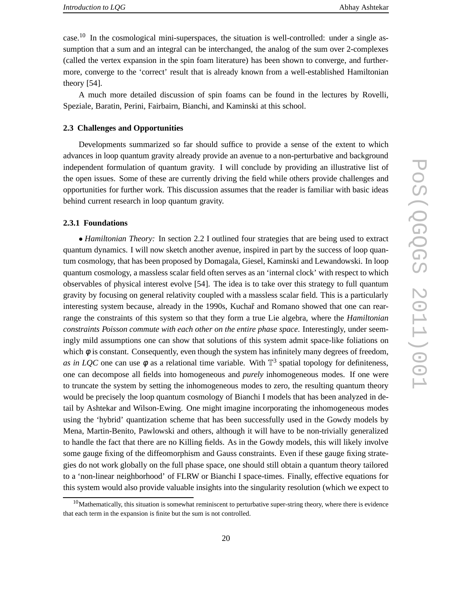case.<sup>10</sup> In the cosmological mini-superspaces, the situation is well-controlled: under a single assumption that a sum and an integral can be interchanged, the analog of the sum over 2-complexes (called the vertex expansion in the spin foam literature) has been shown to converge, and furthermore, converge to the 'correct' result that is already known from a well-established Hamiltonian theory [54].

A much more detailed discussion of spin foams can be found in the lectures by Rovelli, Speziale, Baratin, Perini, Fairbairn, Bianchi, and Kaminski at this school.

#### **2.3 Challenges and Opportunities**

Developments summarized so far should suffice to provide a sense of the extent to which advances in loop quantum gravity already provide an avenue to a non-perturbative and background independent formulation of quantum gravity. I will conclude by providing an illustrative list of the open issues. Some of these are currently driving the field while others provide challenges and opportunities for further work. This discussion assumes that the reader is familiar with basic ideas behind current research in loop quantum gravity.

#### **2.3.1 Foundations**

• *Hamiltonian Theory:* In section 2.2 I outlined four strategies that are being used to extract quantum dynamics. I will now sketch another avenue, inspired in part by the success of loop quantum cosmology, that has been proposed by Domagala, Giesel, Kaminski and Lewandowski. In loop quantum cosmology, a massless scalar field often serves as an 'internal clock' with respect to which observables of physical interest evolve [54]. The idea is to take over this strategy to full quantum gravity by focusing on general relativity coupled with a massless scalar field. This is a particularly interesting system because, already in the 1990s, Kuchař and Romano showed that one can rearrange the constraints of this system so that they form a true Lie algebra, where the *Hamiltonian constraints Poisson commute with each other on the entire phase space*. Interestingly, under seemingly mild assumptions one can show that solutions of this system admit space-like foliations on which  $\phi$  is constant. Consequently, even though the system has infinitely many degrees of freedom, as in LQC one can use  $\phi$  as a relational time variable. With  $\mathbb{T}^3$  spatial topology for definiteness, one can decompose all fields into homogeneous and *purely* inhomogeneous modes. If one were to truncate the system by setting the inhomogeneous modes to zero, the resulting quantum theory would be precisely the loop quantum cosmology of Bianchi I models that has been analyzed in detail by Ashtekar and Wilson-Ewing. One might imagine incorporating the inhomogeneous modes using the 'hybrid' quantization scheme that has been successfully used in the Gowdy models by Mena, Martin-Benito, Pawlowski and others, although it will have to be non-trivially generalized to handle the fact that there are no Killing fields. As in the Gowdy models, this will likely involve some gauge fixing of the diffeomorphism and Gauss constraints. Even if these gauge fixing strategies do not work globally on the full phase space, one should still obtain a quantum theory tailored to a 'non-linear neighborhood' of FLRW or Bianchi I space-times. Finally, effective equations for this system would also provide valuable insights into the singularity resolution (which we expect to

 $10$ Mathematically, this situation is somewhat reminiscent to perturbative super-string theory, where there is evidence that each term in the expansion is finite but the sum is not controlled.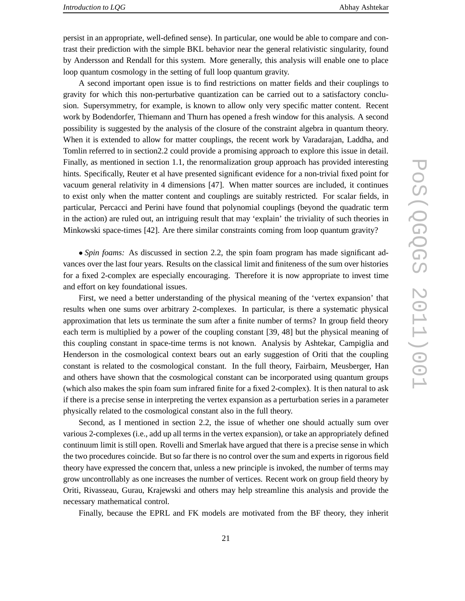persist in an appropriate, well-defined sense). In particular, one would be able to compare and contrast their prediction with the simple BKL behavior near the general relativistic singularity, found by Andersson and Rendall for this system. More generally, this analysis will enable one to place loop quantum cosmology in the setting of full loop quantum gravity.

A second important open issue is to find restrictions on matter fields and their couplings to gravity for which this non-perturbative quantization can be carried out to a satisfactory conclusion. Supersymmetry, for example, is known to allow only very specific matter content. Recent work by Bodendorfer, Thiemann and Thurn has opened a fresh window for this analysis. A second possibility is suggested by the analysis of the closure of the constraint algebra in quantum theory. When it is extended to allow for matter couplings, the recent work by Varadarajan, Laddha, and Tomlin referred to in section2.2 could provide a promising approach to explore this issue in detail. Finally, as mentioned in section 1.1, the renormalization group approach has provided interesting hints. Specifically, Reuter et al have presented significant evidence for a non-trivial fixed point for vacuum general relativity in 4 dimensions [47]. When matter sources are included, it continues to exist only when the matter content and couplings are suitably restricted. For scalar fields, in particular, Percacci and Perini have found that polynomial couplings (beyond the quadratic term in the action) are ruled out, an intriguing result that may 'explain' the triviality of such theories in Minkowski space-times [42]. Are there similar constraints coming from loop quantum gravity?

• *Spin foams:* As discussed in section 2.2, the spin foam program has made significant advances over the last four years. Results on the classical limit and finiteness of the sum over histories for a fixed 2-complex are especially encouraging. Therefore it is now appropriate to invest time and effort on key foundational issues.

First, we need a better understanding of the physical meaning of the 'vertex expansion' that results when one sums over arbitrary 2-complexes. In particular, is there a systematic physical approximation that lets us terminate the sum after a finite number of terms? In group field theory each term is multiplied by a power of the coupling constant [39, 48] but the physical meaning of this coupling constant in space-time terms is not known. Analysis by Ashtekar, Campiglia and Henderson in the cosmological context bears out an early suggestion of Oriti that the coupling constant is related to the cosmological constant. In the full theory, Fairbairn, Meusberger, Han and others have shown that the cosmological constant can be incorporated using quantum groups (which also makes the spin foam sum infrared finite for a fixed 2-complex). It is then natural to ask if there is a precise sense in interpreting the vertex expansion as a perturbation series in a parameter physically related to the cosmological constant also in the full theory.

Second, as I mentioned in section 2.2, the issue of whether one should actually sum over various 2-complexes (i.e., add up all terms in the vertex expansion), or take an appropriately defined continuum limit is still open. Rovelli and Smerlak have argued that there is a precise sense in which the two procedures coincide. But so far there is no control over the sum and experts in rigorous field theory have expressed the concern that, unless a new principle is invoked, the number of terms may grow uncontrollably as one increases the number of vertices. Recent work on group field theory by Oriti, Rivasseau, Gurau, Krajewski and others may help streamline this analysis and provide the necessary mathematical control.

Finally, because the EPRL and FK models are motivated from the BF theory, they inherit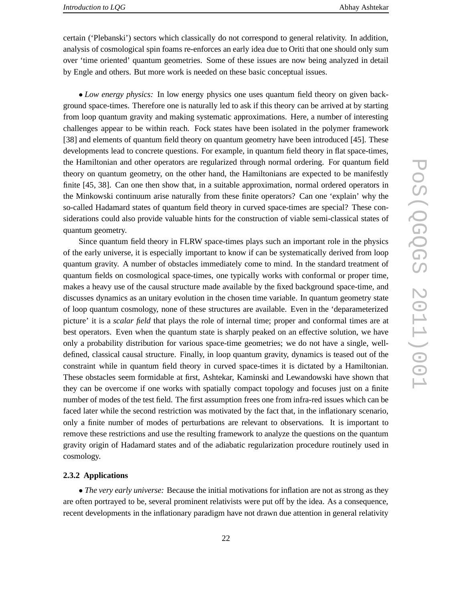certain ('Plebanski') sectors which classically do not correspond to general relativity. In addition, analysis of cosmological spin foams re-enforces an early idea due to Oriti that one should only sum over 'time oriented' quantum geometries. Some of these issues are now being analyzed in detail by Engle and others. But more work is needed on these basic conceptual issues.

• *Low energy physics:* In low energy physics one uses quantum field theory on given background space-times. Therefore one is naturally led to ask if this theory can be arrived at by starting from loop quantum gravity and making systematic approximations. Here, a number of interesting challenges appear to be within reach. Fock states have been isolated in the polymer framework [38] and elements of quantum field theory on quantum geometry have been introduced [45]. These developments lead to concrete questions. For example, in quantum field theory in flat space-times, the Hamiltonian and other operators are regularized through normal ordering. For quantum field theory on quantum geometry, on the other hand, the Hamiltonians are expected to be manifestly finite [45, 38]. Can one then show that, in a suitable approximation, normal ordered operators in the Minkowski continuum arise naturally from these finite operators? Can one 'explain' why the so-called Hadamard states of quantum field theory in curved space-times are special? These considerations could also provide valuable hints for the construction of viable semi-classical states of quantum geometry.

Since quantum field theory in FLRW space-times plays such an important role in the physics of the early universe, it is especially important to know if can be systematically derived from loop quantum gravity. A number of obstacles immediately come to mind. In the standard treatment of quantum fields on cosmological space-times, one typically works with conformal or proper time, makes a heavy use of the causal structure made available by the fixed background space-time, and discusses dynamics as an unitary evolution in the chosen time variable. In quantum geometry state of loop quantum cosmology, none of these structures are available. Even in the 'deparameterized picture' it is a *scalar field* that plays the role of internal time; proper and conformal times are at best operators. Even when the quantum state is sharply peaked on an effective solution, we have only a probability distribution for various space-time geometries; we do not have a single, welldefined, classical causal structure. Finally, in loop quantum gravity, dynamics is teased out of the constraint while in quantum field theory in curved space-times it is dictated by a Hamiltonian. These obstacles seem formidable at first, Ashtekar, Kaminski and Lewandowski have shown that they can be overcome if one works with spatially compact topology and focuses just on a finite number of modes of the test field. The first assumption frees one from infra-red issues which can be faced later while the second restriction was motivated by the fact that, in the inflationary scenario, only a finite number of modes of perturbations are relevant to observations. It is important to remove these restrictions and use the resulting framework to analyze the questions on the quantum gravity origin of Hadamard states and of the adiabatic regularization procedure routinely used in cosmology.

#### **2.3.2 Applications**

• *The very early universe:* Because the initial motivations for inflation are not as strong as they are often portrayed to be, several prominent relativists were put off by the idea. As a consequence, recent developments in the inflationary paradigm have not drawn due attention in general relativity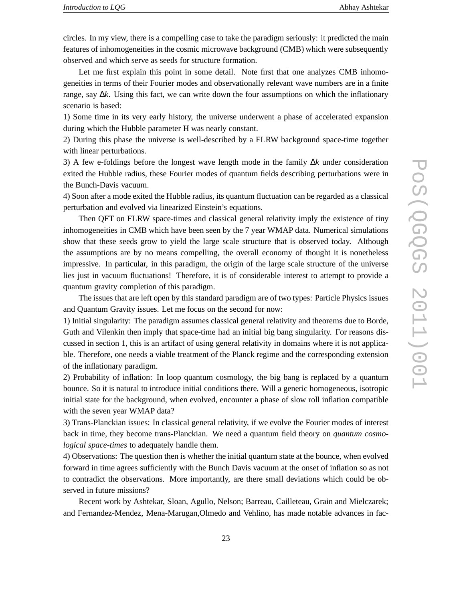circles. In my view, there is a compelling case to take the paradigm seriously: it predicted the main features of inhomogeneities in the cosmic microwave background (CMB) which were subsequently observed and which serve as seeds for structure formation.

Let me first explain this point in some detail. Note first that one analyzes CMB inhomogeneities in terms of their Fourier modes and observationally relevant wave numbers are in a finite range, say ∆*k*. Using this fact, we can write down the four assumptions on which the inflationary scenario is based:

1) Some time in its very early history, the universe underwent a phase of accelerated expansion during which the Hubble parameter H was nearly constant.

2) During this phase the universe is well-described by a FLRW background space-time together with linear perturbations.

3) A few e-foldings before the longest wave length mode in the family ∆*k* under consideration exited the Hubble radius, these Fourier modes of quantum fields describing perturbations were in the Bunch-Davis vacuum.

4) Soon after a mode exited the Hubble radius, its quantum fluctuation can be regarded as a classical perturbation and evolved via linearized Einstein's equations.

Then QFT on FLRW space-times and classical general relativity imply the existence of tiny inhomogeneities in CMB which have been seen by the 7 year WMAP data. Numerical simulations show that these seeds grow to yield the large scale structure that is observed today. Although the assumptions are by no means compelling, the overall economy of thought it is nonetheless impressive. In particular, in this paradigm, the origin of the large scale structure of the universe lies just in vacuum fluctuations! Therefore, it is of considerable interest to attempt to provide a quantum gravity completion of this paradigm.

The issues that are left open by this standard paradigm are of two types: Particle Physics issues and Quantum Gravity issues. Let me focus on the second for now:

1) Initial singularity: The paradigm assumes classical general relativity and theorems due to Borde, Guth and Vilenkin then imply that space-time had an initial big bang singularity. For reasons discussed in section 1, this is an artifact of using general relativity in domains where it is not applicable. Therefore, one needs a viable treatment of the Planck regime and the corresponding extension of the inflationary paradigm.

2) Probability of inflation: In loop quantum cosmology, the big bang is replaced by a quantum bounce. So it is natural to introduce initial conditions there. Will a generic homogeneous, isotropic initial state for the background, when evolved, encounter a phase of slow roll inflation compatible with the seven year WMAP data?

3) Trans-Planckian issues: In classical general relativity, if we evolve the Fourier modes of interest back in time, they become trans-Planckian. We need a quantum field theory on *quantum cosmological space-times* to adequately handle them.

4) Observations: The question then is whether the initial quantum state at the bounce, when evolved forward in time agrees sufficiently with the Bunch Davis vacuum at the onset of inflation so as not to contradict the observations. More importantly, are there small deviations which could be observed in future missions?

Recent work by Ashtekar, Sloan, Agullo, Nelson; Barreau, Cailleteau, Grain and Mielczarek; and Fernandez-Mendez, Mena-Marugan,Olmedo and Vehlino, has made notable advances in fac-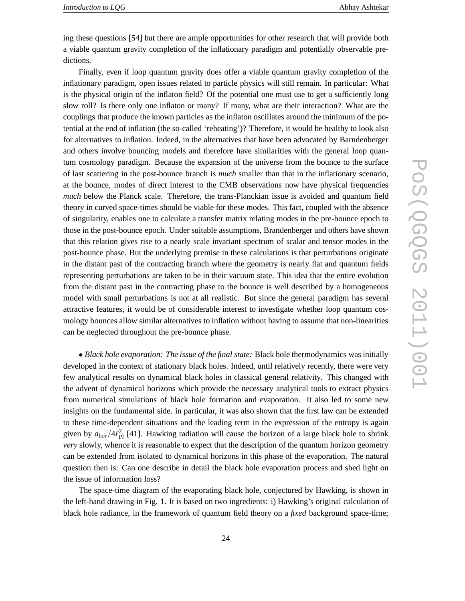PoS(QGQGS 2011)001

POS (DGQGS 2011)001

ing these questions [54] but there are ample opportunities for other research that will provide both a viable quantum gravity completion of the inflationary paradigm and potentially observable predictions.

Finally, even if loop quantum gravity does offer a viable quantum gravity completion of the inflationary paradigm, open issues related to particle physics will still remain. In particular: What is the physical origin of the inflaton field? Of the potential one must use to get a sufficiently long slow roll? Is there only one inflaton or many? If many, what are their interaction? What are the couplings that produce the known particles as the inflaton oscillates around the minimum of the potential at the end of inflation (the so-called 'reheating')? Therefore, it would be healthy to look also for alternatives to inflation. Indeed, in the alternatives that have been advocated by Barndenberger and others involve bouncing models and therefore have similarities with the general loop quantum cosmology paradigm. Because the expansion of the universe from the bounce to the surface of last scattering in the post-bounce branch is *much* smaller than that in the inflationary scenario, at the bounce, modes of direct interest to the CMB observations now have physical frequencies *much* below the Planck scale. Therefore, the trans-Planckian issue is avoided and quantum field theory in curved space-times should be viable for these modes. This fact, coupled with the absence of singularity, enables one to calculate a transfer matrix relating modes in the pre-bounce epoch to those in the post-bounce epoch. Under suitable assumptions, Brandenberger and others have shown that this relation gives rise to a nearly scale invariant spectrum of scalar and tensor modes in the post-bounce phase. But the underlying premise in these calculations is that perturbations originate in the distant past of the contracting branch where the geometry is nearly flat and quantum fields representing perturbations are taken to be in their vacuum state. This idea that the entire evolution from the distant past in the contracting phase to the bounce is well described by a homogeneous model with small perturbations is not at all realistic. But since the general paradigm has several attractive features, it would be of considerable interest to investigate whether loop quantum cosmology bounces allow similar alternatives to inflation without having to assume that non-linearities can be neglected throughout the pre-bounce phase.

• *Black hole evaporation: The issue of the final state:* Black hole thermodynamics was initially developed in the context of stationary black holes. Indeed, until relatively recently, there were very few analytical results on dynamical black holes in classical general relativity. This changed with the advent of dynamical horizons which provide the necessary analytical tools to extract physics from numerical simulations of black hole formation and evaporation. It also led to some new insights on the fundamental side. in particular, it was also shown that the first law can be extended to these time-dependent situations and the leading term in the expression of the entropy is again given by  $a_{\text{hor}}/4\ell_{\text{Pl}}^2$  [41]. Hawking radiation will cause the horizon of a large black hole to shrink *very* slowly, whence it is reasonable to expect that the description of the quantum horizon geometry can be extended from isolated to dynamical horizons in this phase of the evaporation. The natural question then is: Can one describe in detail the black hole evaporation process and shed light on the issue of information loss?

The space-time diagram of the evaporating black hole, conjectured by Hawking, is shown in the left-hand drawing in Fig. 1. It is based on two ingredients: i) Hawking's original calculation of black hole radiance, in the framework of quantum field theory on a *fixed* background space-time;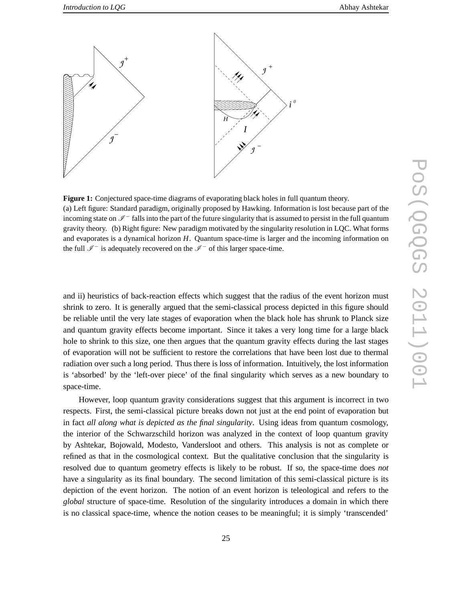

**Figure 1:** Conjectured space-time diagrams of evaporating black holes in full quantum theory. (a) Left figure: Standard paradigm, originally proposed by Hawking. Information is lost because part of the incoming state on  $\mathscr{I}^-$  falls into the part of the future singularity that is assumed to persist in the full quantum gravity theory. (b) Right figure: New paradigm motivated by the singularity resolution in LQC. What forms and evaporates is a dynamical horizon *H*. Quantum space-time is larger and the incoming information on the full  $\mathcal{I}^-$  is adequately recovered on the  $\mathcal{I}^-$  of this larger space-time.

and ii) heuristics of back-reaction effects which suggest that the radius of the event horizon must shrink to zero. It is generally argued that the semi-classical process depicted in this figure should be reliable until the very late stages of evaporation when the black hole has shrunk to Planck size and quantum gravity effects become important. Since it takes a very long time for a large black hole to shrink to this size, one then argues that the quantum gravity effects during the last stages of evaporation will not be sufficient to restore the correlations that have been lost due to thermal radiation over such a long period. Thus there is loss of information. Intuitively, the lost information is 'absorbed' by the 'left-over piece' of the final singularity which serves as a new boundary to space-time.

However, loop quantum gravity considerations suggest that this argument is incorrect in two respects. First, the semi-classical picture breaks down not just at the end point of evaporation but in fact *all along what is depicted as the final singularity*. Using ideas from quantum cosmology, the interior of the Schwarzschild horizon was analyzed in the context of loop quantum gravity by Ashtekar, Bojowald, Modesto, Vandersloot and others. This analysis is not as complete or refined as that in the cosmological context. But the qualitative conclusion that the singularity is resolved due to quantum geometry effects is likely to be robust. If so, the space-time does *not* have a singularity as its final boundary. The second limitation of this semi-classical picture is its depiction of the event horizon. The notion of an event horizon is teleological and refers to the *global* structure of space-time. Resolution of the singularity introduces a domain in which there is no classical space-time, whence the notion ceases to be meaningful; it is simply 'transcended'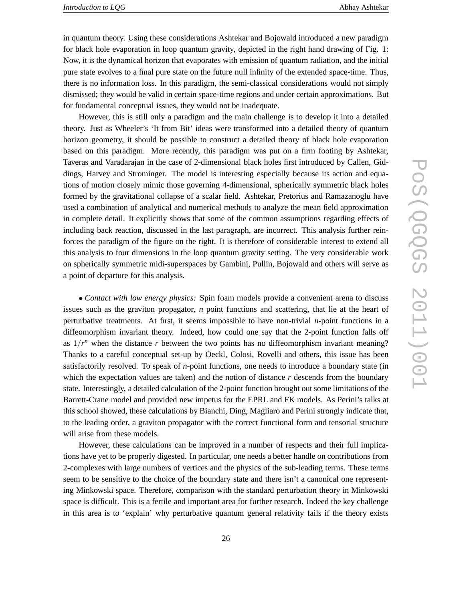in quantum theory. Using these considerations Ashtekar and Bojowald introduced a new paradigm for black hole evaporation in loop quantum gravity, depicted in the right hand drawing of Fig. 1: Now, it is the dynamical horizon that evaporates with emission of quantum radiation, and the initial pure state evolves to a final pure state on the future null infinity of the extended space-time. Thus, there is no information loss. In this paradigm, the semi-classical considerations would not simply dismissed; they would be valid in certain space-time regions and under certain approximations. But for fundamental conceptual issues, they would not be inadequate.

However, this is still only a paradigm and the main challenge is to develop it into a detailed theory. Just as Wheeler's 'It from Bit' ideas were transformed into a detailed theory of quantum horizon geometry, it should be possible to construct a detailed theory of black hole evaporation based on this paradigm. More recently, this paradigm was put on a firm footing by Ashtekar, Taveras and Varadarajan in the case of 2-dimensional black holes first introduced by Callen, Giddings, Harvey and Strominger. The model is interesting especially because its action and equations of motion closely mimic those governing 4-dimensional, spherically symmetric black holes formed by the gravitational collapse of a scalar field. Ashtekar, Pretorius and Ramazanoglu have used a combination of analytical and numerical methods to analyze the mean field approximation in complete detail. It explicitly shows that some of the common assumptions regarding effects of including back reaction, discussed in the last paragraph, are incorrect. This analysis further reinforces the paradigm of the figure on the right. It is therefore of considerable interest to extend all this analysis to four dimensions in the loop quantum gravity setting. The very considerable work on spherically symmetric midi-superspaces by Gambini, Pullin, Bojowald and others will serve as a point of departure for this analysis.

• *Contact with low energy physics:* Spin foam models provide a convenient arena to discuss issues such as the graviton propagator, *n* point functions and scattering, that lie at the heart of perturbative treatments. At first, it seems impossible to have non-trivial *n*-point functions in a diffeomorphism invariant theory. Indeed, how could one say that the 2-point function falls off as  $1/r^n$  when the distance *r* between the two points has no diffeomorphism invariant meaning? Thanks to a careful conceptual set-up by Oeckl, Colosi, Rovelli and others, this issue has been satisfactorily resolved. To speak of *n*-point functions, one needs to introduce a boundary state (in which the expectation values are taken) and the notion of distance *r* descends from the boundary state. Interestingly, a detailed calculation of the 2-point function brought out some limitations of the Barrett-Crane model and provided new impetus for the EPRL and FK models. As Perini's talks at this school showed, these calculations by Bianchi, Ding, Magliaro and Perini strongly indicate that, to the leading order, a graviton propagator with the correct functional form and tensorial structure will arise from these models.

However, these calculations can be improved in a number of respects and their full implications have yet to be properly digested. In particular, one needs a better handle on contributions from 2-complexes with large numbers of vertices and the physics of the sub-leading terms. These terms seem to be sensitive to the choice of the boundary state and there isn't a canonical one representing Minkowski space. Therefore, comparison with the standard perturbation theory in Minkowski space is difficult. This is a fertile and important area for further research. Indeed the key challenge in this area is to 'explain' why perturbative quantum general relativity fails if the theory exists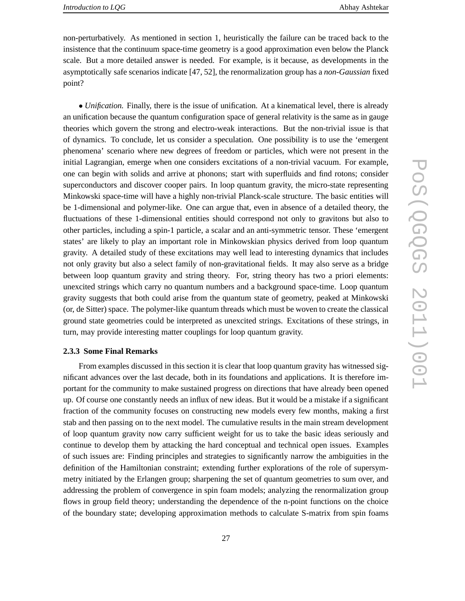non-perturbatively. As mentioned in section 1, heuristically the failure can be traced back to the insistence that the continuum space-time geometry is a good approximation even below the Planck scale. But a more detailed answer is needed. For example, is it because, as developments in the asymptotically safe scenarios indicate [47, 52], the renormalization group has a *non-Gaussian* fixed point?

• *Unification*. Finally, there is the issue of unification. At a kinematical level, there is already an unification because the quantum configuration space of general relativity is the same as in gauge theories which govern the strong and electro-weak interactions. But the non-trivial issue is that of dynamics. To conclude, let us consider a speculation. One possibility is to use the 'emergent phenomena' scenario where new degrees of freedom or particles, which were not present in the initial Lagrangian, emerge when one considers excitations of a non-trivial vacuum. For example, one can begin with solids and arrive at phonons; start with superfluids and find rotons; consider superconductors and discover cooper pairs. In loop quantum gravity, the micro-state representing Minkowski space-time will have a highly non-trivial Planck-scale structure. The basic entities will be 1-dimensional and polymer-like. One can argue that, even in absence of a detailed theory, the fluctuations of these 1-dimensional entities should correspond not only to gravitons but also to other particles, including a spin-1 particle, a scalar and an anti-symmetric tensor. These 'emergent states' are likely to play an important role in Minkowskian physics derived from loop quantum gravity. A detailed study of these excitations may well lead to interesting dynamics that includes not only gravity but also a select family of non-gravitational fields. It may also serve as a bridge between loop quantum gravity and string theory. For, string theory has two a priori elements: unexcited strings which carry no quantum numbers and a background space-time. Loop quantum gravity suggests that both could arise from the quantum state of geometry, peaked at Minkowski (or, de Sitter) space. The polymer-like quantum threads which must be woven to create the classical ground state geometries could be interpreted as unexcited strings. Excitations of these strings, in turn, may provide interesting matter couplings for loop quantum gravity.

#### **2.3.3 Some Final Remarks**

From examples discussed in this section it is clear that loop quantum gravity has witnessed significant advances over the last decade, both in its foundations and applications. It is therefore important for the community to make sustained progress on directions that have already been opened up. Of course one constantly needs an influx of new ideas. But it would be a mistake if a significant fraction of the community focuses on constructing new models every few months, making a first stab and then passing on to the next model. The cumulative results in the main stream development of loop quantum gravity now carry sufficient weight for us to take the basic ideas seriously and continue to develop them by attacking the hard conceptual and technical open issues. Examples of such issues are: Finding principles and strategies to significantly narrow the ambiguities in the definition of the Hamiltonian constraint; extending further explorations of the role of supersymmetry initiated by the Erlangen group; sharpening the set of quantum geometries to sum over, and addressing the problem of convergence in spin foam models; analyzing the renormalization group flows in group field theory; understanding the dependence of the n-point functions on the choice of the boundary state; developing approximation methods to calculate S-matrix from spin foams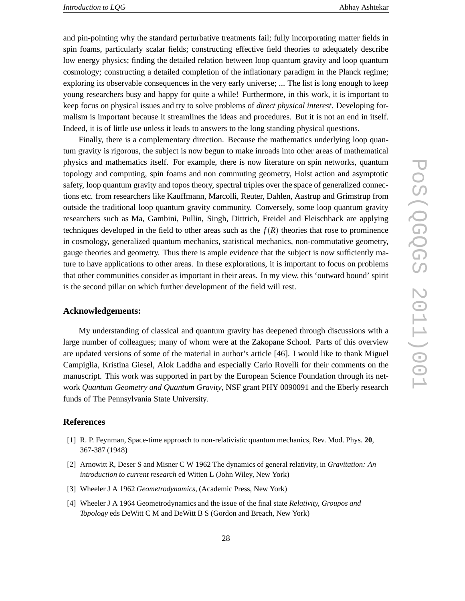and pin-pointing why the standard perturbative treatments fail; fully incorporating matter fields in spin foams, particularly scalar fields; constructing effective field theories to adequately describe low energy physics; finding the detailed relation between loop quantum gravity and loop quantum cosmology; constructing a detailed completion of the inflationary paradigm in the Planck regime; exploring its observable consequences in the very early universe; ... The list is long enough to keep young researchers busy and happy for quite a while! Furthermore, in this work, it is important to keep focus on physical issues and try to solve problems of *direct physical interest*. Developing formalism is important because it streamlines the ideas and procedures. But it is not an end in itself. Indeed, it is of little use unless it leads to answers to the long standing physical questions.

Finally, there is a complementary direction. Because the mathematics underlying loop quantum gravity is rigorous, the subject is now begun to make inroads into other areas of mathematical physics and mathematics itself. For example, there is now literature on spin networks, quantum topology and computing, spin foams and non commuting geometry, Holst action and asymptotic safety, loop quantum gravity and topos theory, spectral triples over the space of generalized connections etc. from researchers like Kauffmann, Marcolli, Reuter, Dahlen, Aastrup and Grimstrup from outside the traditional loop quantum gravity community. Conversely, some loop quantum gravity researchers such as Ma, Gambini, Pullin, Singh, Dittrich, Freidel and Fleischhack are applying techniques developed in the field to other areas such as the  $f(R)$  theories that rose to prominence in cosmology, generalized quantum mechanics, statistical mechanics, non-commutative geometry, gauge theories and geometry. Thus there is ample evidence that the subject is now sufficiently mature to have applications to other areas. In these explorations, it is important to focus on problems that other communities consider as important in their areas. In my view, this 'outward bound' spirit is the second pillar on which further development of the field will rest.

#### **Acknowledgements:**

My understanding of classical and quantum gravity has deepened through discussions with a large number of colleagues; many of whom were at the Zakopane School. Parts of this overview are updated versions of some of the material in author's article [46]. I would like to thank Miguel Campiglia, Kristina Giesel, Alok Laddha and especially Carlo Rovelli for their comments on the manuscript. This work was supported in part by the European Science Foundation through its network *Quantum Geometry and Quantum Gravity*, NSF grant PHY 0090091 and the Eberly research funds of The Pennsylvania State University.

# **References**

- [1] R. P. Feynman, Space-time approach to non-relativistic quantum mechanics, Rev. Mod. Phys. **20**, 367-387 (1948)
- [2] Arnowitt R, Deser S and Misner C W 1962 The dynamics of general relativity, in *Gravitation: An introduction to current research* ed Witten L (John Wiley, New York)
- [3] Wheeler J A 1962 *Geometrodynamics*, (Academic Press, New York)
- [4] Wheeler J A 1964 Geometrodynamics and the issue of the final state *Relativity, Groupos and Topology* eds DeWitt C M and DeWitt B S (Gordon and Breach, New York)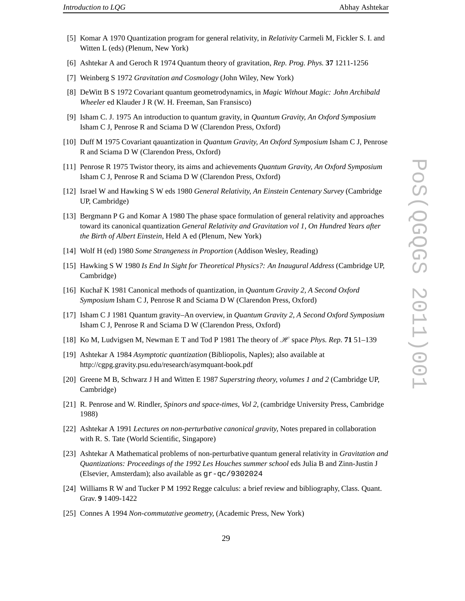- [5] Komar A 1970 Quantization program for general relativity, in *Relativity* Carmeli M, Fickler S. I. and Witten L (eds) (Plenum, New York)
- [6] Ashtekar A and Geroch R 1974 Quantum theory of gravitation, *Rep. Prog. Phys.* **37** 1211-1256
- [7] Weinberg S 1972 *Gravitation and Cosmology* (John Wiley, New York)
- [8] DeWitt B S 1972 Covariant quantum geometrodynamics, in *Magic Without Magic: John Archibald Wheeler* ed Klauder J R (W. H. Freeman, San Fransisco)
- [9] Isham C. J. 1975 An introduction to quantum gravity, in *Quantum Gravity, An Oxford Symposium* Isham C J, Penrose R and Sciama D W (Clarendon Press, Oxford)
- [10] Duff M 1975 Covariant qauantization in *Quantum Gravity, An Oxford Symposium* Isham C J, Penrose R and Sciama D W (Clarendon Press, Oxford)
- [11] Penrose R 1975 Twistor theory, its aims and achievements *Quantum Gravity, An Oxford Symposium* Isham C J, Penrose R and Sciama D W (Clarendon Press, Oxford)
- [12] Israel W and Hawking S W eds 1980 *General Relativity, An Einstein Centenary Survey* (Cambridge UP, Cambridge)
- [13] Bergmann P G and Komar A 1980 The phase space formulation of general relativity and approaches toward its canonical quantization *General Relativity and Gravitation vol 1, On Hundred Years after the Birth of Albert Einstein*, Held A ed (Plenum, New York)
- [14] Wolf H (ed) 1980 *Some Strangeness in Proportion* (Addison Wesley, Reading)
- [15] Hawking S W 1980 *Is End In Sight for Theoretical Physics?: An Inaugural Address* (Cambridge UP, Cambridge)
- [16] Kuchaˇr K 1981 Canonical methods of quantization, in *Quantum Gravity 2, A Second Oxford Symposium* Isham C J, Penrose R and Sciama D W (Clarendon Press, Oxford)
- [17] Isham C J 1981 Quantum gravity–An overview, in *Quantum Gravity 2, A Second Oxford Symposium* Isham C J, Penrose R and Sciama D W (Clarendon Press, Oxford)
- [18] Ko M, Ludvigsen M, Newman E T and Tod P 1981 The theory of  $\mathcal{H}$  space *Phys. Rep.* **71** 51–139
- [19] Ashtekar A 1984 *Asymptotic quantization* (Bibliopolis, Naples); also available at http://cgpg.gravity.psu.edu/research/asymquant-book.pdf
- [20] Greene M B, Schwarz J H and Witten E 1987 *Superstring theory, volumes 1 and 2* (Cambridge UP, Cambridge)
- [21] R. Penrose and W. Rindler, *Spinors and space-times, Vol 2,* (cambridge University Press, Cambridge 1988)
- [22] Ashtekar A 1991 *Lectures on non-perturbative canonical gravity,* Notes prepared in collaboration with R. S. Tate (World Scientific, Singapore)
- [23] Ashtekar A Mathematical problems of non-perturbative quantum general relativity in *Gravitation and Quantizations: Proceedings of the 1992 Les Houches summer school* eds Julia B and Zinn-Justin J (Elsevier, Amsterdam); also available as gr-qc/9302024
- [24] Williams R W and Tucker P M 1992 Regge calculus: a brief review and bibliography, Class. Quant. Grav. **9** 1409-1422
- [25] Connes A 1994 *Non-commutative geometry,* (Academic Press, New York)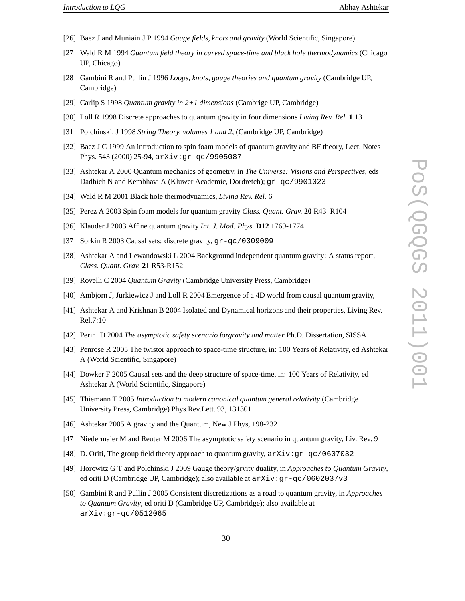- [26] Baez J and Muniain J P 1994 *Gauge fields, knots and gravity* (World Scientific, Singapore)
- [27] Wald R M 1994 *Quantum field theory in curved space-time and black hole thermodynamics* (Chicago UP, Chicago)
- [28] Gambini R and Pullin J 1996 *Loops, knots, gauge theories and quantum gravity* (Cambridge UP, Cambridge)
- [29] Carlip S 1998 *Quantum gravity in 2+1 dimensions* (Cambrige UP, Cambridge)
- [30] Loll R 1998 Discrete approaches to quantum gravity in four dimensions *Living Rev. Rel.* **1** 13
- [31] Polchinski, J 1998 *String Theory, volumes 1 and 2,* (Cambridge UP, Cambridge)
- [32] Baez J C 1999 An introduction to spin foam models of quantum gravity and BF theory, Lect. Notes Phys. 543 (2000) 25-94, arXiv:gr-qc/9905087
- [33] Ashtekar A 2000 Quantum mechanics of geometry, in *The Universe: Visions and Perspectives*, eds Dadhich N and Kembhavi A (Kluwer Academic, Dordretch); gr-qc/9901023
- [34] Wald R M 2001 Black hole thermodynamics, *Living Rev. Rel.* 6
- [35] Perez A 2003 Spin foam models for quantum gravity *Class. Quant. Grav.* **20** R43–R104
- [36] Klauder J 2003 Affine quantum gravity *Int. J. Mod. Phys.* **D12** 1769-1774
- [37] Sorkin R 2003 Causal sets: discrete gravity, gr-qc/0309009
- [38] Ashtekar A and Lewandowski L 2004 Background independent quantum gravity: A status report, *Class. Quant. Grav.* **21** R53-R152
- [39] Rovelli C 2004 *Quantum Gravity* (Cambridge University Press, Cambridge)
- [40] Ambjorn J, Jurkiewicz J and Loll R 2004 Emergence of a 4D world from causal quantum gravity,
- [41] Ashtekar A and Krishnan B 2004 Isolated and Dynamical horizons and their properties, Living Rev. Rel.7:10
- [42] Perini D 2004 *The asymptotic safety scenario forgravity and matter* Ph.D. Dissertation, SISSA
- [43] Penrose R 2005 The twistor approach to space-time structure, in: 100 Years of Relativity, ed Ashtekar A (World Scientific, Singapore)
- [44] Dowker F 2005 Causal sets and the deep structure of space-time, in: 100 Years of Relativity, ed Ashtekar A (World Scientific, Singapore)
- [45] Thiemann T 2005 *Introduction to modern canonical quantum general relativity* (Cambridge University Press, Cambridge) Phys.Rev.Lett. 93, 131301
- [46] Ashtekar 2005 A gravity and the Quantum, New J Phys, 198-232
- [47] Niedermaier M and Reuter M 2006 The asymptotic safety scenario in quantum gravity, Liv. Rev. 9
- [48] D. Oriti, The group field theory approach to quantum gravity,  $arXiv:gr-qc/0607032$
- [49] Horowitz G T and Polchinski J 2009 Gauge theory/grvity duality, in *Approaches to Quantum Gravity*, ed oriti D (Cambridge UP, Cambridge); also available at arXiv:gr-qc/0602037v3
- [50] Gambini R and Pullin J 2005 Consistent discretizations as a road to quantum gravity, in *Approaches to Quantum Gravity*, ed oriti D (Cambridge UP, Cambridge); also available at arXiv:gr-qc/0512065